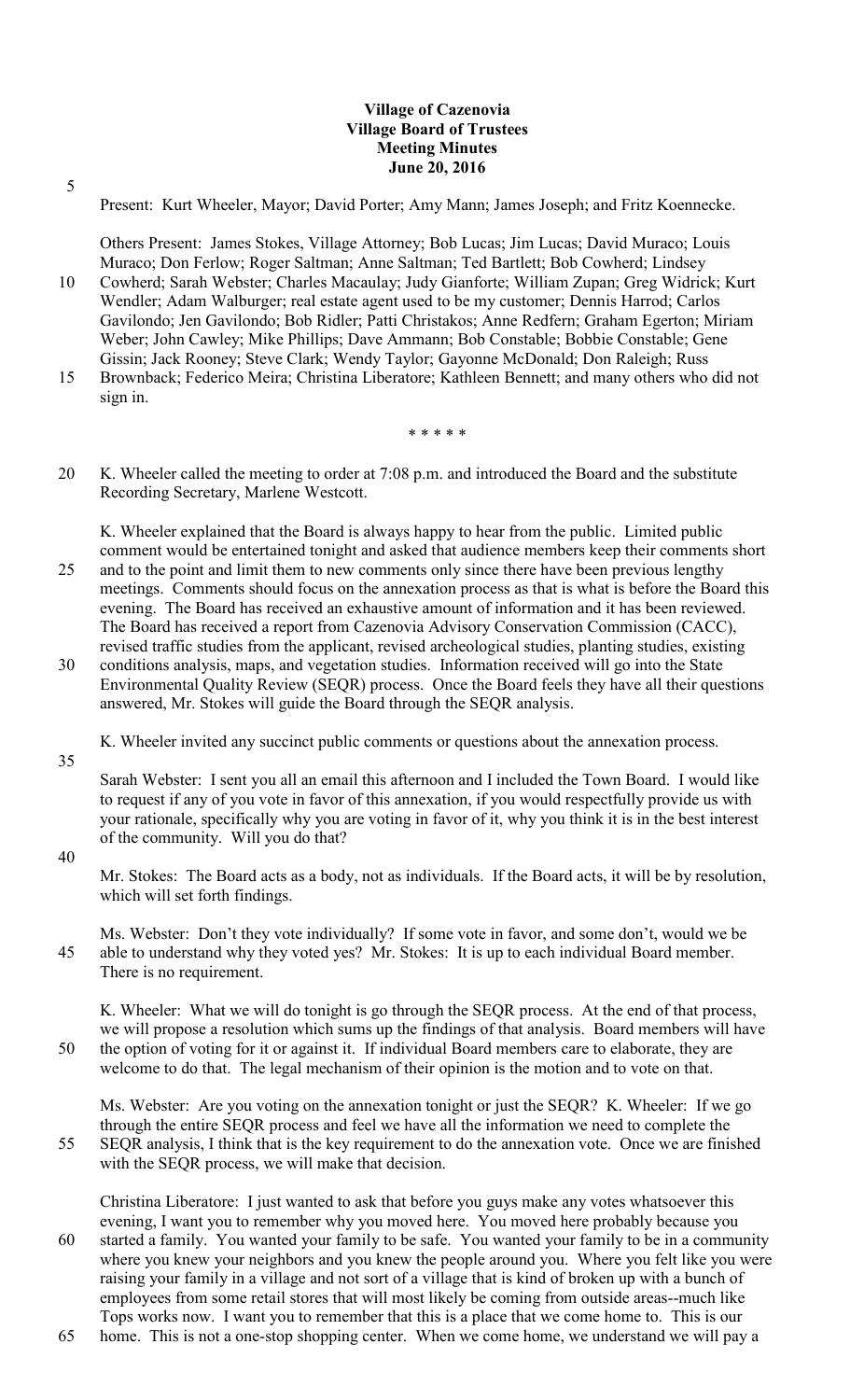## **Village of Cazenovia Village Board of Trustees Meeting Minutes June 20, 2016**

5

Present: Kurt Wheeler, Mayor; David Porter; Amy Mann; James Joseph; and Fritz Koennecke.

Others Present: James Stokes, Village Attorney; Bob Lucas; Jim Lucas; David Muraco; Louis Muraco; Don Ferlow; Roger Saltman; Anne Saltman; Ted Bartlett; Bob Cowherd; Lindsey

- 10 Cowherd; Sarah Webster; Charles Macaulay; Judy Gianforte; William Zupan; Greg Widrick; Kurt Wendler; Adam Walburger; real estate agent used to be my customer; Dennis Harrod; Carlos Gavilondo; Jen Gavilondo; Bob Ridler; Patti Christakos; Anne Redfern; Graham Egerton; Miriam Weber; John Cawley; Mike Phillips; Dave Ammann; Bob Constable; Bobbie Constable; Gene Gissin; Jack Rooney; Steve Clark; Wendy Taylor; Gayonne McDonald; Don Raleigh; Russ
- 15 Brownback; Federico Meira; Christina Liberatore; Kathleen Bennett; and many others who did not sign in.

\* \* \* \* \*

20 K. Wheeler called the meeting to order at 7:08 p.m. and introduced the Board and the substitute Recording Secretary, Marlene Westcott.

K. Wheeler explained that the Board is always happy to hear from the public. Limited public comment would be entertained tonight and asked that audience members keep their comments short 25 and to the point and limit them to new comments only since there have been previous lengthy

- meetings. Comments should focus on the annexation process as that is what is before the Board this evening. The Board has received an exhaustive amount of information and it has been reviewed. The Board has received a report from Cazenovia Advisory Conservation Commission (CACC), revised traffic studies from the applicant, revised archeological studies, planting studies, existing
- 30 conditions analysis, maps, and vegetation studies. Information received will go into the State Environmental Quality Review (SEQR) process. Once the Board feels they have all their questions answered, Mr. Stokes will guide the Board through the SEQR analysis.
	- K. Wheeler invited any succinct public comments or questions about the annexation process.
- 35

Sarah Webster: I sent you all an email this afternoon and I included the Town Board. I would like to request if any of you vote in favor of this annexation, if you would respectfully provide us with your rationale, specifically why you are voting in favor of it, why you think it is in the best interest of the community. Will you do that?

40

Mr. Stokes: The Board acts as a body, not as individuals. If the Board acts, it will be by resolution, which will set forth findings.

Ms. Webster: Don't they vote individually? If some vote in favor, and some don't, would we be 45 able to understand why they voted yes? Mr. Stokes: It is up to each individual Board member. There is no requirement.

K. Wheeler: What we will do tonight is go through the SEQR process. At the end of that process, we will propose a resolution which sums up the findings of that analysis. Board members will have 50 the option of voting for it or against it. If individual Board members care to elaborate, they are welcome to do that. The legal mechanism of their opinion is the motion and to vote on that.

Ms. Webster: Are you voting on the annexation tonight or just the SEQR? K. Wheeler: If we go through the entire SEQR process and feel we have all the information we need to complete the 55 SEQR analysis, I think that is the key requirement to do the annexation vote. Once we are finished with the SEQR process, we will make that decision.

Christina Liberatore: I just wanted to ask that before you guys make any votes whatsoever this evening, I want you to remember why you moved here. You moved here probably because you 60 started a family. You wanted your family to be safe. You wanted your family to be in a community where you knew your neighbors and you knew the people around you. Where you felt like you were

- raising your family in a village and not sort of a village that is kind of broken up with a bunch of employees from some retail stores that will most likely be coming from outside areas--much like Tops works now. I want you to remember that this is a place that we come home to. This is our
- 65 home. This is not a one-stop shopping center. When we come home, we understand we will pay a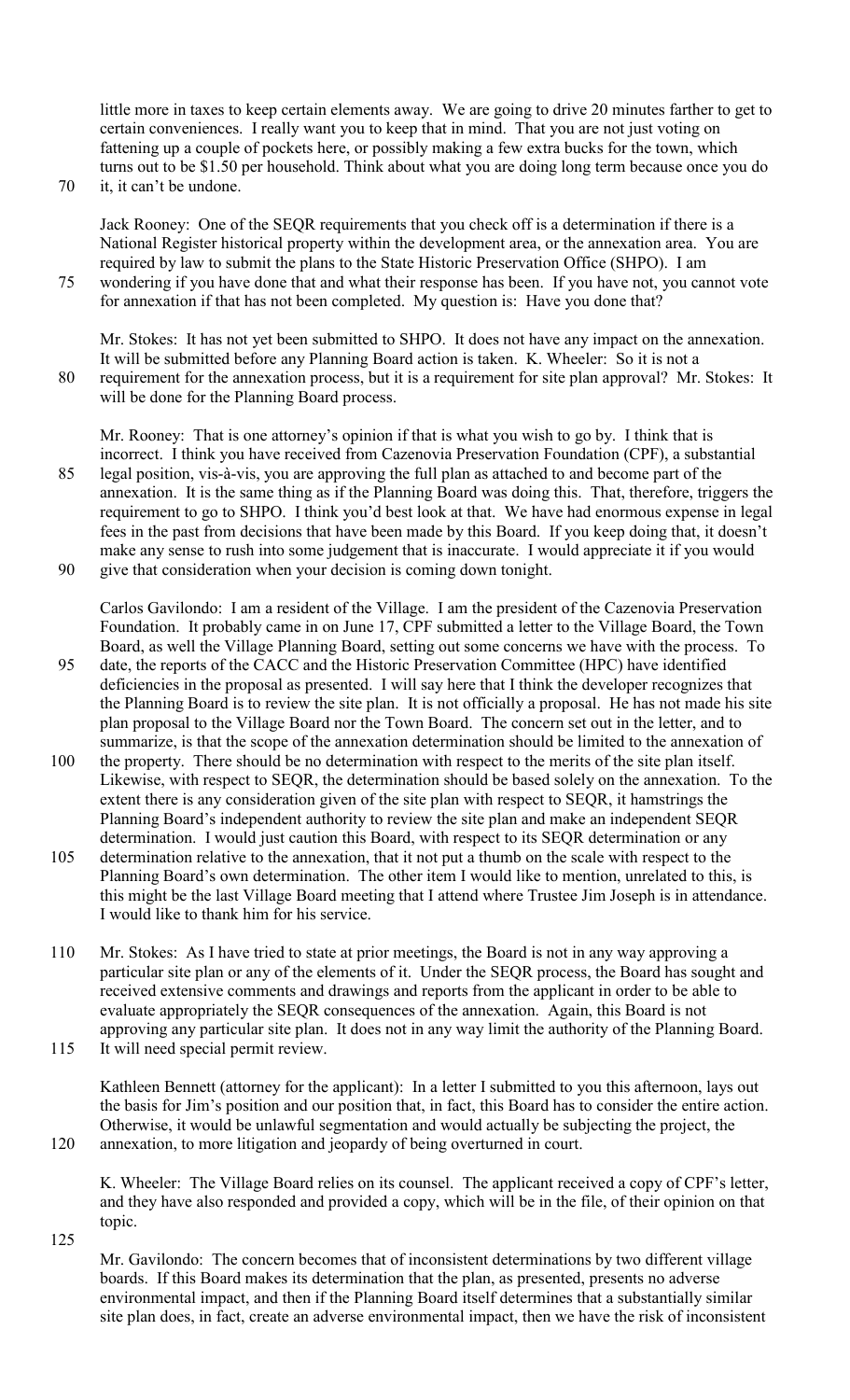little more in taxes to keep certain elements away. We are going to drive 20 minutes farther to get to certain conveniences. I really want you to keep that in mind. That you are not just voting on fattening up a couple of pockets here, or possibly making a few extra bucks for the town, which turns out to be \$1.50 per household. Think about what you are doing long term because once you do

70 it, it can't be undone.

Jack Rooney: One of the SEQR requirements that you check off is a determination if there is a National Register historical property within the development area, or the annexation area. You are required by law to submit the plans to the State Historic Preservation Office (SHPO). I am

75 wondering if you have done that and what their response has been. If you have not, you cannot vote for annexation if that has not been completed. My question is: Have you done that?

Mr. Stokes: It has not yet been submitted to SHPO. It does not have any impact on the annexation. It will be submitted before any Planning Board action is taken. K. Wheeler: So it is not a 80 requirement for the annexation process, but it is a requirement for site plan approval? Mr. Stokes: It will be done for the Planning Board process.

Mr. Rooney: That is one attorney's opinion if that is what you wish to go by. I think that is incorrect. I think you have received from Cazenovia Preservation Foundation (CPF), a substantial

85 legal position, vis-à-vis, you are approving the full plan as attached to and become part of the annexation. It is the same thing as if the Planning Board was doing this. That, therefore, triggers the requirement to go to SHPO. I think you'd best look at that. We have had enormous expense in legal fees in the past from decisions that have been made by this Board. If you keep doing that, it doesn't make any sense to rush into some judgement that is inaccurate. I would appreciate it if you would 90 give that consideration when your decision is coming down tonight.

Carlos Gavilondo: I am a resident of the Village. I am the president of the Cazenovia Preservation Foundation. It probably came in on June 17, CPF submitted a letter to the Village Board, the Town Board, as well the Village Planning Board, setting out some concerns we have with the process. To

- 95 date, the reports of the CACC and the Historic Preservation Committee (HPC) have identified deficiencies in the proposal as presented. I will say here that I think the developer recognizes that the Planning Board is to review the site plan. It is not officially a proposal. He has not made his site plan proposal to the Village Board nor the Town Board. The concern set out in the letter, and to summarize, is that the scope of the annexation determination should be limited to the annexation of
- 100 the property. There should be no determination with respect to the merits of the site plan itself. Likewise, with respect to SEQR, the determination should be based solely on the annexation. To the extent there is any consideration given of the site plan with respect to SEQR, it hamstrings the Planning Board's independent authority to review the site plan and make an independent SEQR determination. I would just caution this Board, with respect to its SEQR determination or any
- 105 determination relative to the annexation, that it not put a thumb on the scale with respect to the Planning Board's own determination. The other item I would like to mention, unrelated to this, is this might be the last Village Board meeting that I attend where Trustee Jim Joseph is in attendance. I would like to thank him for his service.
- 110 Mr. Stokes: As I have tried to state at prior meetings, the Board is not in any way approving a particular site plan or any of the elements of it. Under the SEQR process, the Board has sought and received extensive comments and drawings and reports from the applicant in order to be able to evaluate appropriately the SEQR consequences of the annexation. Again, this Board is not approving any particular site plan. It does not in any way limit the authority of the Planning Board.
- 115 It will need special permit review.

Kathleen Bennett (attorney for the applicant): In a letter I submitted to you this afternoon, lays out the basis for Jim's position and our position that, in fact, this Board has to consider the entire action. Otherwise, it would be unlawful segmentation and would actually be subjecting the project, the 120 annexation, to more litigation and jeopardy of being overturned in court.

K. Wheeler: The Village Board relies on its counsel. The applicant received a copy of CPF's letter, and they have also responded and provided a copy, which will be in the file, of their opinion on that topic.

125

Mr. Gavilondo: The concern becomes that of inconsistent determinations by two different village boards. If this Board makes its determination that the plan, as presented, presents no adverse environmental impact, and then if the Planning Board itself determines that a substantially similar site plan does, in fact, create an adverse environmental impact, then we have the risk of inconsistent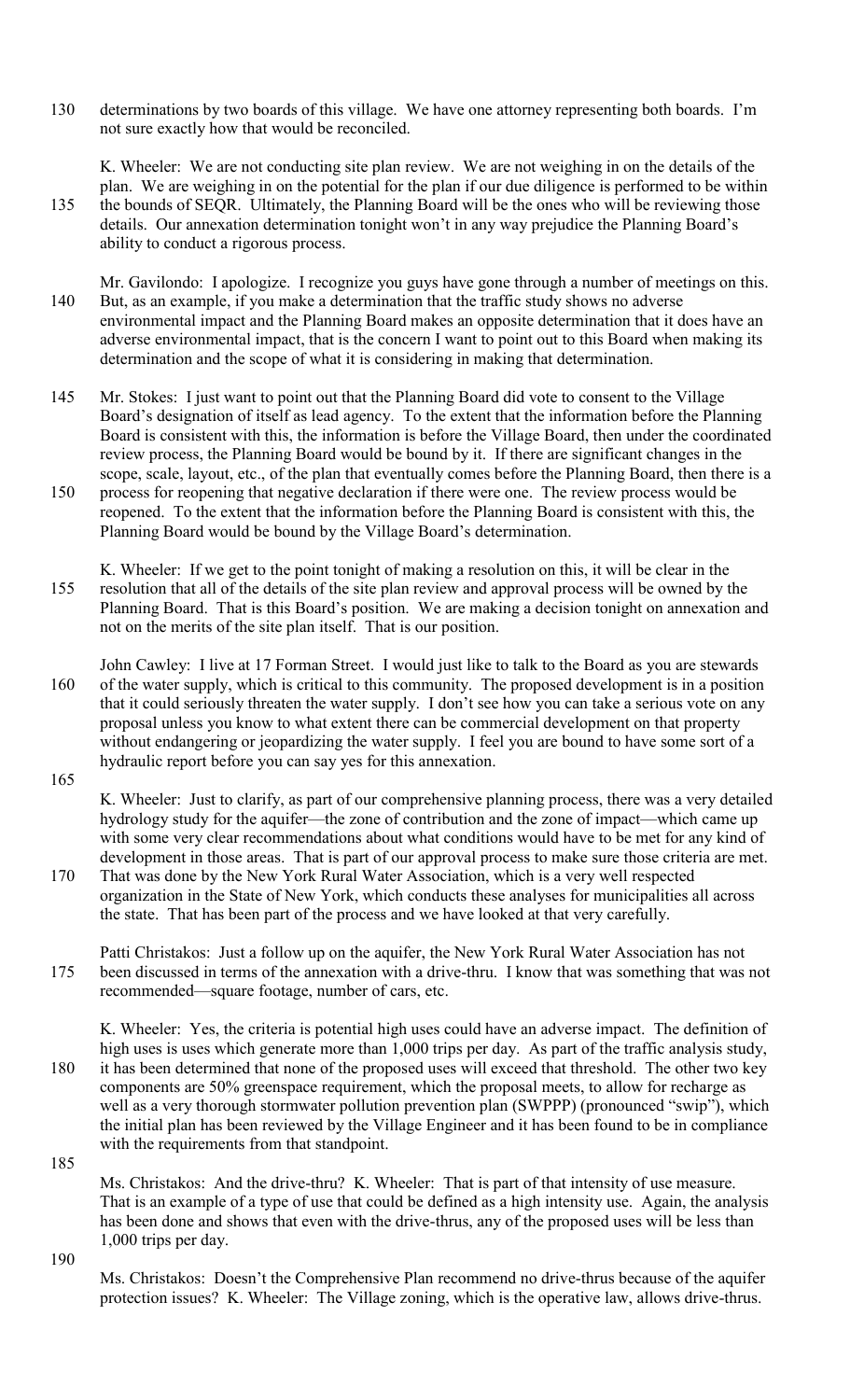130 determinations by two boards of this village. We have one attorney representing both boards. I'm not sure exactly how that would be reconciled.

K. Wheeler: We are not conducting site plan review. We are not weighing in on the details of the plan. We are weighing in on the potential for the plan if our due diligence is performed to be within 135 the bounds of SEQR. Ultimately, the Planning Board will be the ones who will be reviewing those details. Our annexation determination tonight won't in any way prejudice the Planning Board's ability to conduct a rigorous process.

Mr. Gavilondo: I apologize. I recognize you guys have gone through a number of meetings on this. 140 But, as an example, if you make a determination that the traffic study shows no adverse environmental impact and the Planning Board makes an opposite determination that it does have an adverse environmental impact, that is the concern I want to point out to this Board when making its determination and the scope of what it is considering in making that determination.

- 145 Mr. Stokes: I just want to point out that the Planning Board did vote to consent to the Village Board's designation of itself as lead agency. To the extent that the information before the Planning Board is consistent with this, the information is before the Village Board, then under the coordinated review process, the Planning Board would be bound by it. If there are significant changes in the scope, scale, layout, etc., of the plan that eventually comes before the Planning Board, then there is a
- 150 process for reopening that negative declaration if there were one. The review process would be reopened. To the extent that the information before the Planning Board is consistent with this, the Planning Board would be bound by the Village Board's determination.

K. Wheeler: If we get to the point tonight of making a resolution on this, it will be clear in the 155 resolution that all of the details of the site plan review and approval process will be owned by the Planning Board. That is this Board's position. We are making a decision tonight on annexation and not on the merits of the site plan itself. That is our position.

John Cawley: I live at 17 Forman Street. I would just like to talk to the Board as you are stewards 160 of the water supply, which is critical to this community. The proposed development is in a position that it could seriously threaten the water supply. I don't see how you can take a serious vote on any proposal unless you know to what extent there can be commercial development on that property without endangering or jeopardizing the water supply. I feel you are bound to have some sort of a hydraulic report before you can say yes for this annexation.

165

K. Wheeler: Just to clarify, as part of our comprehensive planning process, there was a very detailed hydrology study for the aquifer—the zone of contribution and the zone of impact—which came up with some very clear recommendations about what conditions would have to be met for any kind of development in those areas. That is part of our approval process to make sure those criteria are met.

170 That was done by the New York Rural Water Association, which is a very well respected organization in the State of New York, which conducts these analyses for municipalities all across the state. That has been part of the process and we have looked at that very carefully.

Patti Christakos: Just a follow up on the aquifer, the New York Rural Water Association has not 175 been discussed in terms of the annexation with a drive-thru. I know that was something that was not recommended—square footage, number of cars, etc.

K. Wheeler: Yes, the criteria is potential high uses could have an adverse impact. The definition of high uses is uses which generate more than 1,000 trips per day. As part of the traffic analysis study,

- 180 it has been determined that none of the proposed uses will exceed that threshold. The other two key components are 50% greenspace requirement, which the proposal meets, to allow for recharge as well as a very thorough stormwater pollution prevention plan (SWPPP) (pronounced "swip"), which the initial plan has been reviewed by the Village Engineer and it has been found to be in compliance with the requirements from that standpoint.
- 185

Ms. Christakos: And the drive-thru? K. Wheeler: That is part of that intensity of use measure. That is an example of a type of use that could be defined as a high intensity use. Again, the analysis has been done and shows that even with the drive-thrus, any of the proposed uses will be less than 1,000 trips per day.

190

Ms. Christakos: Doesn't the Comprehensive Plan recommend no drive-thrus because of the aquifer protection issues? K. Wheeler: The Village zoning, which is the operative law, allows drive-thrus.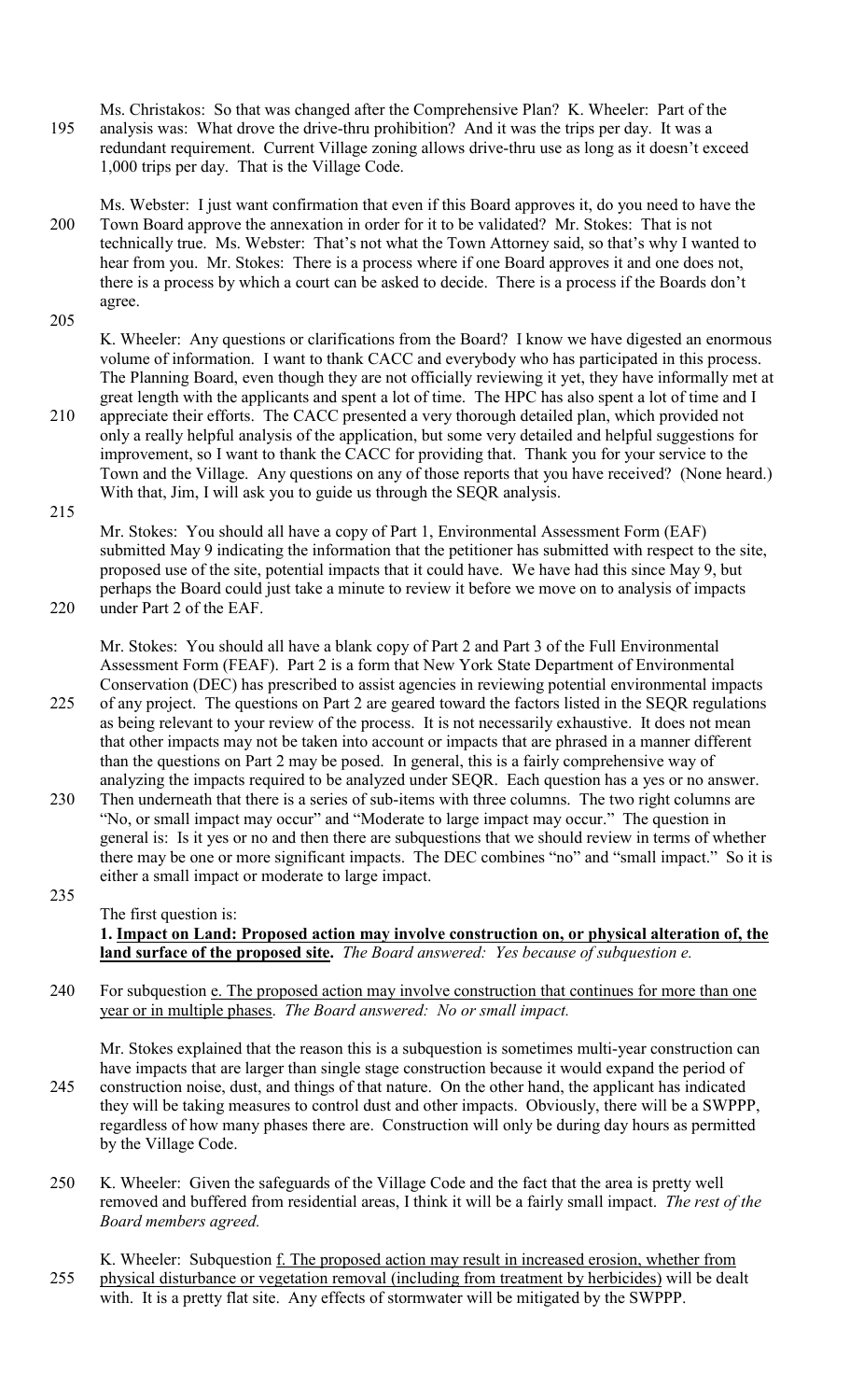- Ms. Christakos: So that was changed after the Comprehensive Plan? K. Wheeler: Part of the 195 analysis was: What drove the drive-thru prohibition? And it was the trips per day. It was a redundant requirement. Current Village zoning allows drive-thru use as long as it doesn't exceed 1,000 trips per day. That is the Village Code.
- Ms. Webster: I just want confirmation that even if this Board approves it, do you need to have the 200 Town Board approve the annexation in order for it to be validated? Mr. Stokes: That is not technically true. Ms. Webster: That's not what the Town Attorney said, so that's why I wanted to hear from you. Mr. Stokes: There is a process where if one Board approves it and one does not, there is a process by which a court can be asked to decide. There is a process if the Boards don't agree.
- 205

K. Wheeler: Any questions or clarifications from the Board? I know we have digested an enormous volume of information. I want to thank CACC and everybody who has participated in this process. The Planning Board, even though they are not officially reviewing it yet, they have informally met at great length with the applicants and spent a lot of time. The HPC has also spent a lot of time and I

- 210 appreciate their efforts. The CACC presented a very thorough detailed plan, which provided not only a really helpful analysis of the application, but some very detailed and helpful suggestions for improvement, so I want to thank the CACC for providing that. Thank you for your service to the Town and the Village. Any questions on any of those reports that you have received? (None heard.) With that, Jim, I will ask you to guide us through the SEQR analysis.
- Mr. Stokes: You should all have a copy of Part 1, Environmental Assessment Form (EAF) submitted May 9 indicating the information that the petitioner has submitted with respect to the site, proposed use of the site, potential impacts that it could have. We have had this since May 9, but perhaps the Board could just take a minute to review it before we move on to analysis of impacts 220 under Part 2 of the EAF.

Mr. Stokes: You should all have a blank copy of Part 2 and Part 3 of the Full Environmental Assessment Form (FEAF). Part 2 is a form that New York State Department of Environmental Conservation (DEC) has prescribed to assist agencies in reviewing potential environmental impacts

- 225 of any project. The questions on Part 2 are geared toward the factors listed in the SEQR regulations as being relevant to your review of the process. It is not necessarily exhaustive. It does not mean that other impacts may not be taken into account or impacts that are phrased in a manner different than the questions on Part 2 may be posed. In general, this is a fairly comprehensive way of analyzing the impacts required to be analyzed under SEQR. Each question has a yes or no answer.
- 230 Then underneath that there is a series of sub-items with three columns. The two right columns are "No, or small impact may occur" and "Moderate to large impact may occur." The question in general is: Is it yes or no and then there are subquestions that we should review in terms of whether there may be one or more significant impacts. The DEC combines "no" and "small impact." So it is either a small impact or moderate to large impact.
- 235

The first question is:

**1. Impact on Land: Proposed action may involve construction on, or physical alteration of, the land surface of the proposed site.** *The Board answered: Yes because of subquestion e.* 

240 For subquestion e. The proposed action may involve construction that continues for more than one year or in multiple phases. *The Board answered: No or small impact.* 

Mr. Stokes explained that the reason this is a subquestion is sometimes multi-year construction can have impacts that are larger than single stage construction because it would expand the period of 245 construction noise, dust, and things of that nature. On the other hand, the applicant has indicated they will be taking measures to control dust and other impacts. Obviously, there will be a SWPPP, regardless of how many phases there are. Construction will only be during day hours as permitted by the Village Code.

- 250 K. Wheeler: Given the safeguards of the Village Code and the fact that the area is pretty well removed and buffered from residential areas, I think it will be a fairly small impact. *The rest of the Board members agreed.*
- K. Wheeler: Subquestion f. The proposed action may result in increased erosion, whether from 255 physical disturbance or vegetation removal (including from treatment by herbicides) will be dealt with. It is a pretty flat site. Any effects of stormwater will be mitigated by the SWPPP.

215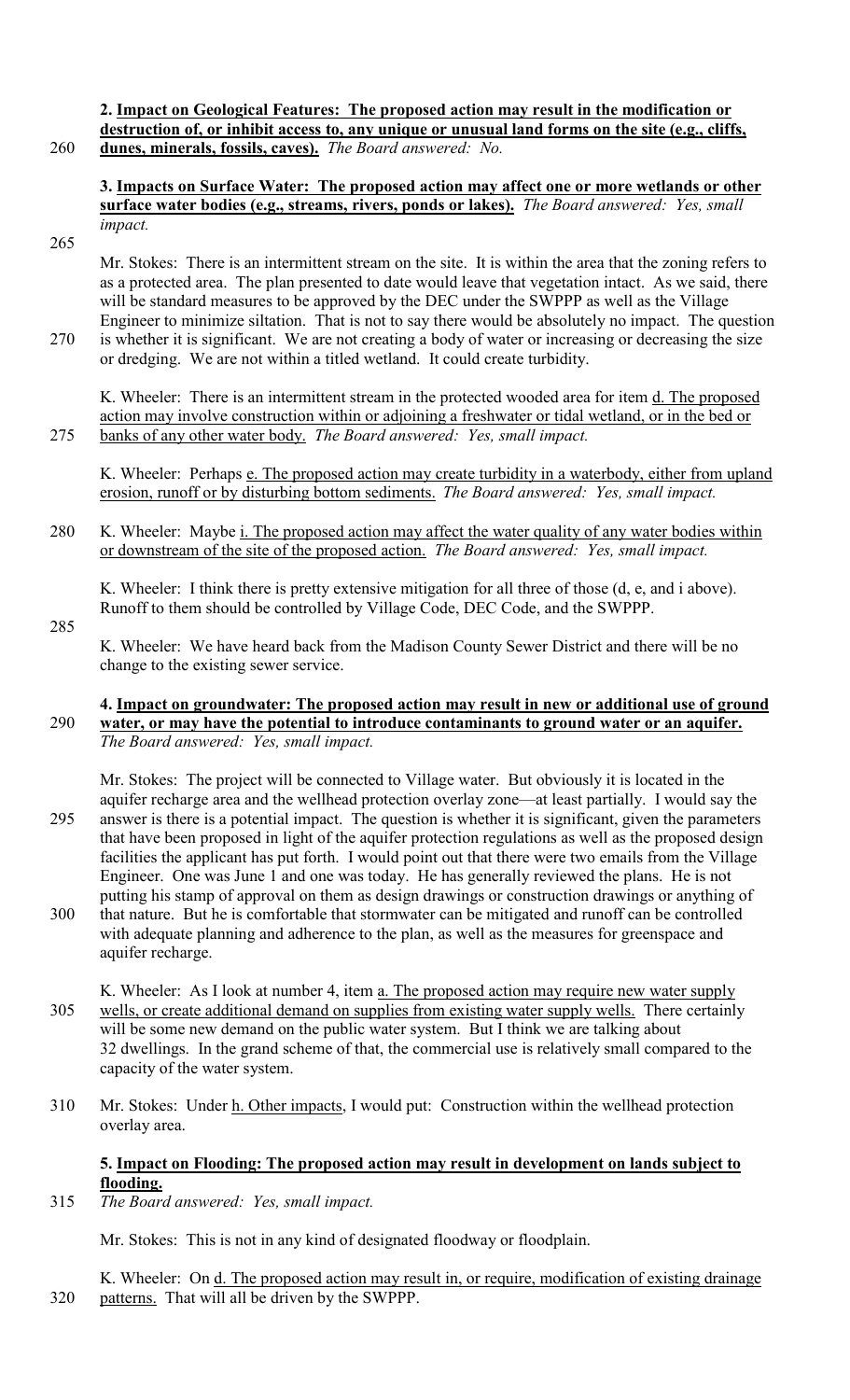**2. Impact on Geological Features: The proposed action may result in the modification or destruction of, or inhibit access to, any unique or unusual land forms on the site (e.g., cliffs,**  260 **dunes, minerals, fossils, caves).** *The Board answered: No.* 

**3. Impacts on Surface Water: The proposed action may affect one or more wetlands or other surface water bodies (e.g., streams, rivers, ponds or lakes).** *The Board answered: Yes, small impact.* 

265

Mr. Stokes: There is an intermittent stream on the site. It is within the area that the zoning refers to as a protected area. The plan presented to date would leave that vegetation intact. As we said, there will be standard measures to be approved by the DEC under the SWPPP as well as the Village Engineer to minimize siltation. That is not to say there would be absolutely no impact. The question 270 is whether it is significant. We are not creating a body of water or increasing or decreasing the size or dredging. We are not within a titled wetland. It could create turbidity.

K. Wheeler: There is an intermittent stream in the protected wooded area for item d. The proposed action may involve construction within or adjoining a freshwater or tidal wetland, or in the bed or 275 banks of any other water body. *The Board answered: Yes, small impact.*

K. Wheeler: Perhaps e. The proposed action may create turbidity in a waterbody, either from upland erosion, runoff or by disturbing bottom sediments. *The Board answered: Yes, small impact.*

280 K. Wheeler: Maybe i. The proposed action may affect the water quality of any water bodies within or downstream of the site of the proposed action. *The Board answered: Yes, small impact.*

K. Wheeler: I think there is pretty extensive mitigation for all three of those (d, e, and i above). Runoff to them should be controlled by Village Code, DEC Code, and the SWPPP.

285

K. Wheeler: We have heard back from the Madison County Sewer District and there will be no change to the existing sewer service.

## **4. Impact on groundwater: The proposed action may result in new or additional use of ground**  290 **water, or may have the potential to introduce contaminants to ground water or an aquifer.** *The Board answered: Yes, small impact.*

Mr. Stokes: The project will be connected to Village water. But obviously it is located in the aquifer recharge area and the wellhead protection overlay zone—at least partially. I would say the 295 answer is there is a potential impact. The question is whether it is significant, given the parameters that have been proposed in light of the aquifer protection regulations as well as the proposed design facilities the applicant has put forth. I would point out that there were two emails from the Village Engineer. One was June 1 and one was today. He has generally reviewed the plans. He is not putting his stamp of approval on them as design drawings or construction drawings or anything of 300 that nature. But he is comfortable that stormwater can be mitigated and runoff can be controlled

- with adequate planning and adherence to the plan, as well as the measures for greenspace and aquifer recharge.
- K. Wheeler: As I look at number 4, item a. The proposed action may require new water supply 305 wells, or create additional demand on supplies from existing water supply wells. There certainly will be some new demand on the public water system. But I think we are talking about 32 dwellings. In the grand scheme of that, the commercial use is relatively small compared to the capacity of the water system.
- 310 Mr. Stokes: Under h. Other impacts, I would put: Construction within the wellhead protection overlay area.

# **5. Impact on Flooding: The proposed action may result in development on lands subject to flooding.**

315 *The Board answered: Yes, small impact.* 

Mr. Stokes: This is not in any kind of designated floodway or floodplain.

K. Wheeler: On d. The proposed action may result in, or require, modification of existing drainage 320 patterns. That will all be driven by the SWPPP.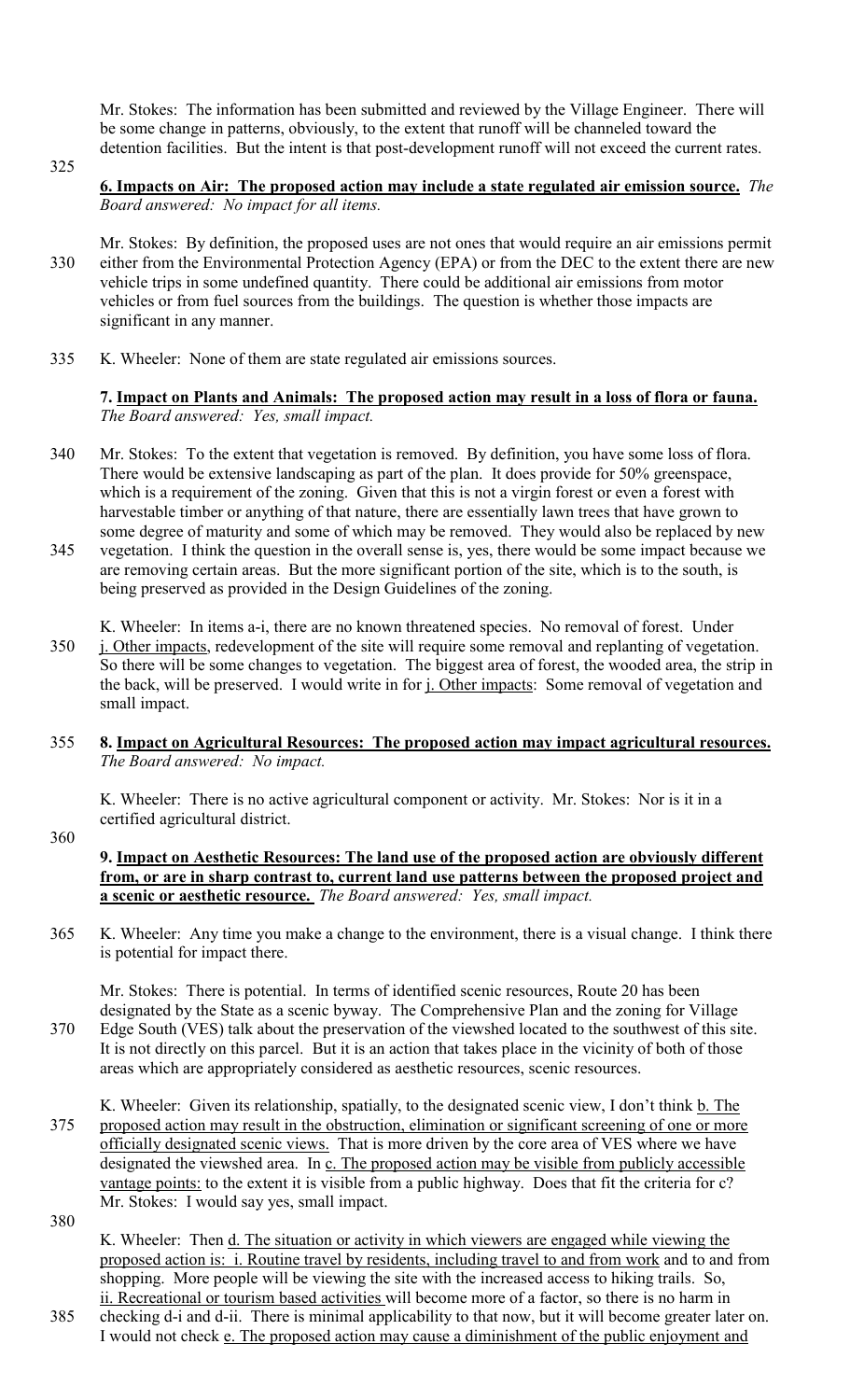Mr. Stokes: The information has been submitted and reviewed by the Village Engineer. There will be some change in patterns, obviously, to the extent that runoff will be channeled toward the detention facilities. But the intent is that post-development runoff will not exceed the current rates.

325

**6. Impacts on Air: The proposed action may include a state regulated air emission source.** *The Board answered: No impact for all items.* 

- Mr. Stokes: By definition, the proposed uses are not ones that would require an air emissions permit 330 either from the Environmental Protection Agency (EPA) or from the DEC to the extent there are new vehicle trips in some undefined quantity. There could be additional air emissions from motor vehicles or from fuel sources from the buildings. The question is whether those impacts are significant in any manner.
- 335 K. Wheeler: None of them are state regulated air emissions sources.

## **7. Impact on Plants and Animals: The proposed action may result in a loss of flora or fauna.** *The Board answered: Yes, small impact.*

- 340 Mr. Stokes: To the extent that vegetation is removed. By definition, you have some loss of flora. There would be extensive landscaping as part of the plan. It does provide for 50% greenspace, which is a requirement of the zoning. Given that this is not a virgin forest or even a forest with harvestable timber or anything of that nature, there are essentially lawn trees that have grown to some degree of maturity and some of which may be removed. They would also be replaced by new
- 345 vegetation. I think the question in the overall sense is, yes, there would be some impact because we are removing certain areas. But the more significant portion of the site, which is to the south, is being preserved as provided in the Design Guidelines of the zoning.

K. Wheeler: In items a-i, there are no known threatened species. No removal of forest. Under 350 j. Other impacts, redevelopment of the site will require some removal and replanting of vegetation. So there will be some changes to vegetation. The biggest area of forest, the wooded area, the strip in the back, will be preserved. I would write in for j. Other impacts: Some removal of vegetation and small impact.

355 **8. Impact on Agricultural Resources: The proposed action may impact agricultural resources.** *The Board answered: No impact.* 

K. Wheeler: There is no active agricultural component or activity. Mr. Stokes: Nor is it in a certified agricultural district.

360

## **9. Impact on Aesthetic Resources: The land use of the proposed action are obviously different from, or are in sharp contrast to, current land use patterns between the proposed project and a scenic or aesthetic resource.** *The Board answered: Yes, small impact.*

365 K. Wheeler: Any time you make a change to the environment, there is a visual change. I think there is potential for impact there.

Mr. Stokes: There is potential. In terms of identified scenic resources, Route 20 has been designated by the State as a scenic byway. The Comprehensive Plan and the zoning for Village 370 Edge South (VES) talk about the preservation of the viewshed located to the southwest of this site. It is not directly on this parcel. But it is an action that takes place in the vicinity of both of those areas which are appropriately considered as aesthetic resources, scenic resources.

K. Wheeler: Given its relationship, spatially, to the designated scenic view, I don't think **b**. The 375 proposed action may result in the obstruction, elimination or significant screening of one or more officially designated scenic views. That is more driven by the core area of VES where we have designated the viewshed area. In c. The proposed action may be visible from publicly accessible vantage points: to the extent it is visible from a public highway. Does that fit the criteria for c? Mr. Stokes: I would say yes, small impact.

380

K. Wheeler: Then d. The situation or activity in which viewers are engaged while viewing the proposed action is: i. Routine travel by residents, including travel to and from work and to and from shopping. More people will be viewing the site with the increased access to hiking trails. So, ii. Recreational or tourism based activities will become more of a factor, so there is no harm in

385 checking d-i and d-ii. There is minimal applicability to that now, but it will become greater later on. I would not check e. The proposed action may cause a diminishment of the public enjoyment and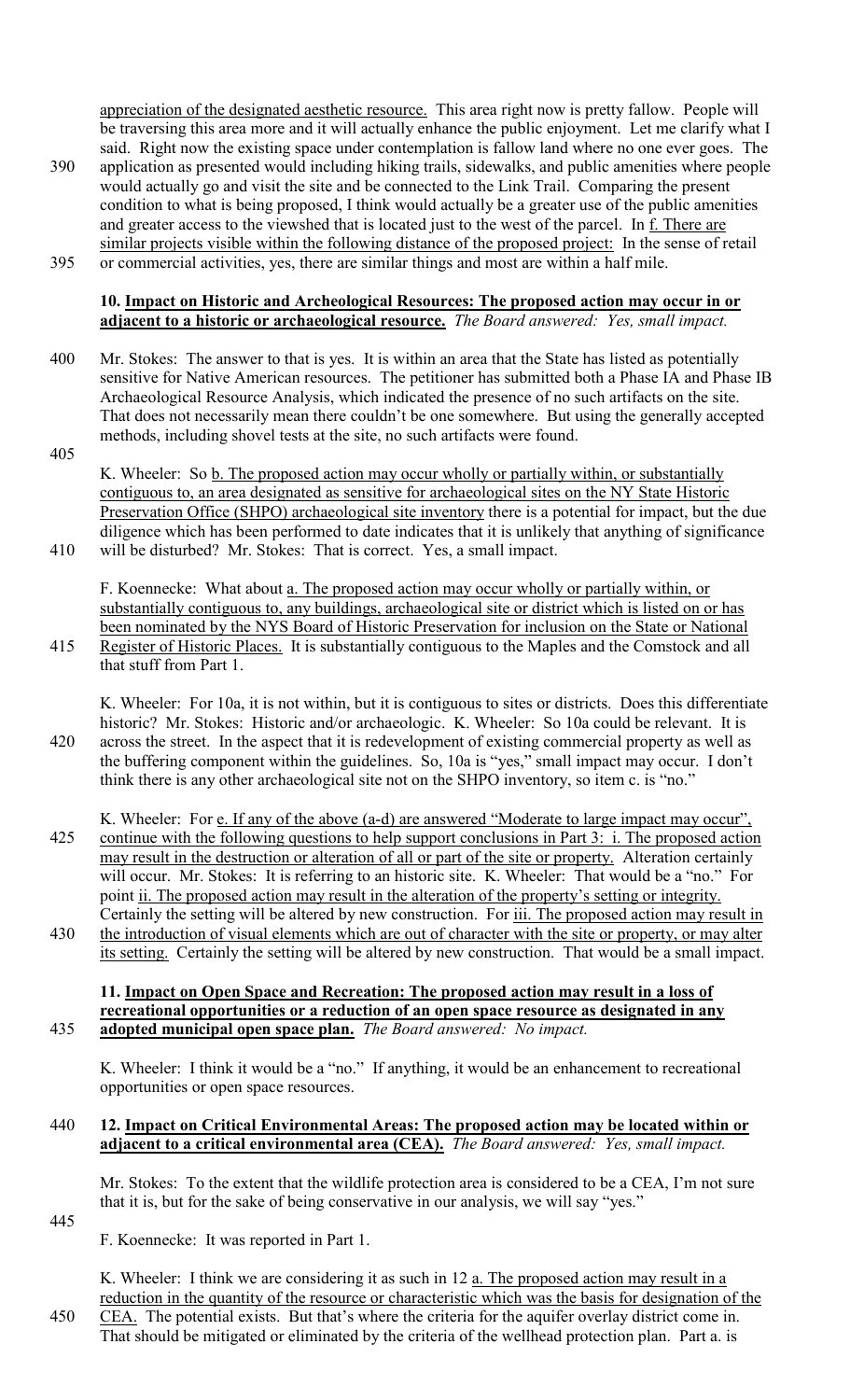appreciation of the designated aesthetic resource. This area right now is pretty fallow. People will be traversing this area more and it will actually enhance the public enjoyment. Let me clarify what I said. Right now the existing space under contemplation is fallow land where no one ever goes. The

390 application as presented would including hiking trails, sidewalks, and public amenities where people would actually go and visit the site and be connected to the Link Trail. Comparing the present condition to what is being proposed, I think would actually be a greater use of the public amenities and greater access to the viewshed that is located just to the west of the parcel. In f. There are similar projects visible within the following distance of the proposed project: In the sense of retail 395 or commercial activities, yes, there are similar things and most are within a half mile.

## **10. Impact on Historic and Archeological Resources: The proposed action may occur in or adjacent to a historic or archaeological resource.** *The Board answered: Yes, small impact.*

- 400 Mr. Stokes: The answer to that is yes. It is within an area that the State has listed as potentially sensitive for Native American resources. The petitioner has submitted both a Phase IA and Phase IB Archaeological Resource Analysis, which indicated the presence of no such artifacts on the site. That does not necessarily mean there couldn't be one somewhere. But using the generally accepted methods, including shovel tests at the site, no such artifacts were found.
- 405
- K. Wheeler: So b. The proposed action may occur wholly or partially within, or substantially contiguous to, an area designated as sensitive for archaeological sites on the NY State Historic Preservation Office (SHPO) archaeological site inventory there is a potential for impact, but the due diligence which has been performed to date indicates that it is unlikely that anything of significance 410 will be disturbed? Mr. Stokes: That is correct. Yes, a small impact.

F. Koennecke: What about a. The proposed action may occur wholly or partially within, or substantially contiguous to, any buildings, archaeological site or district which is listed on or has been nominated by the NYS Board of Historic Preservation for inclusion on the State or National 415 Register of Historic Places. It is substantially contiguous to the Maples and the Comstock and all that stuff from Part 1.

- K. Wheeler: For 10a, it is not within, but it is contiguous to sites or districts. Does this differentiate historic? Mr. Stokes: Historic and/or archaeologic. K. Wheeler: So 10a could be relevant. It is 420 across the street. In the aspect that it is redevelopment of existing commercial property as well as the buffering component within the guidelines. So, 10a is "yes," small impact may occur. I don't think there is any other archaeological site not on the SHPO inventory, so item c. is "no."
- K. Wheeler: For e. If any of the above (a-d) are answered "Moderate to large impact may occur", 425 continue with the following questions to help support conclusions in Part 3: i. The proposed action may result in the destruction or alteration of all or part of the site or property. Alteration certainly will occur. Mr. Stokes: It is referring to an historic site. K. Wheeler: That would be a "no." For point ii. The proposed action may result in the alteration of the property's setting or integrity. Certainly the setting will be altered by new construction. For iii. The proposed action may result in 430 the introduction of visual elements which are out of character with the site or property, or may alter
- its setting. Certainly the setting will be altered by new construction. That would be a small impact.

#### **11. Impact on Open Space and Recreation: The proposed action may result in a loss of recreational opportunities or a reduction of an open space resource as designated in any**  435 **adopted municipal open space plan.** *The Board answered: No impact.*

K. Wheeler: I think it would be a "no." If anything, it would be an enhancement to recreational opportunities or open space resources.

# 440 **12. Impact on Critical Environmental Areas: The proposed action may be located within or adjacent to a critical environmental area (CEA).** *The Board answered: Yes, small impact.*

Mr. Stokes: To the extent that the wildlife protection area is considered to be a CEA, I'm not sure that it is, but for the sake of being conservative in our analysis, we will say "yes."

- 445
- F. Koennecke: It was reported in Part 1.

K. Wheeler: I think we are considering it as such in 12 a. The proposed action may result in a reduction in the quantity of the resource or characteristic which was the basis for designation of the

450 CEA. The potential exists. But that's where the criteria for the aquifer overlay district come in. That should be mitigated or eliminated by the criteria of the wellhead protection plan. Part a. is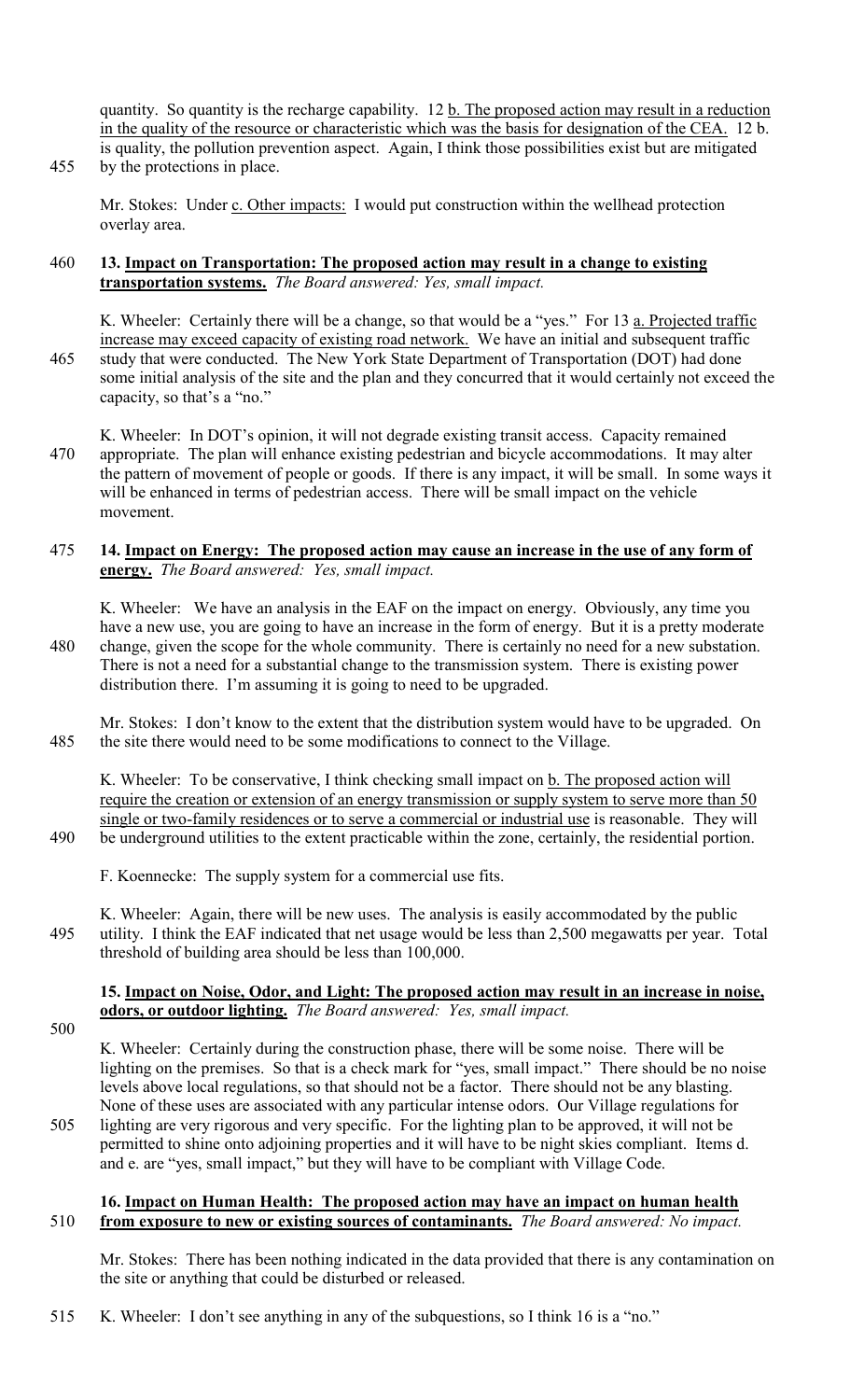quantity. So quantity is the recharge capability. 12 b. The proposed action may result in a reduction in the quality of the resource or characteristic which was the basis for designation of the CEA. 12 b. is quality, the pollution prevention aspect. Again, I think those possibilities exist but are mitigated 455 by the protections in place.

Mr. Stokes: Under c. Other impacts: I would put construction within the wellhead protection overlay area.

## 460 **13. Impact on Transportation: The proposed action may result in a change to existing transportation systems.** *The Board answered: Yes, small impact.*

K. Wheeler: Certainly there will be a change, so that would be a "yes." For 13 a. Projected traffic increase may exceed capacity of existing road network. We have an initial and subsequent traffic 465 study that were conducted. The New York State Department of Transportation (DOT) had done some initial analysis of the site and the plan and they concurred that it would certainly not exceed the capacity, so that's a "no."

K. Wheeler: In DOT's opinion, it will not degrade existing transit access. Capacity remained 470 appropriate. The plan will enhance existing pedestrian and bicycle accommodations. It may alter the pattern of movement of people or goods. If there is any impact, it will be small. In some ways it will be enhanced in terms of pedestrian access. There will be small impact on the vehicle movement.

## 475 **14. Impact on Energy: The proposed action may cause an increase in the use of any form of energy.** *The Board answered: Yes, small impact.*

K. Wheeler: We have an analysis in the EAF on the impact on energy. Obviously, any time you have a new use, you are going to have an increase in the form of energy. But it is a pretty moderate 480 change, given the scope for the whole community. There is certainly no need for a new substation. There is not a need for a substantial change to the transmission system. There is existing power distribution there. I'm assuming it is going to need to be upgraded.

Mr. Stokes: I don't know to the extent that the distribution system would have to be upgraded. On 485 the site there would need to be some modifications to connect to the Village.

K. Wheeler: To be conservative, I think checking small impact on b. The proposed action will require the creation or extension of an energy transmission or supply system to serve more than 50 single or two-family residences or to serve a commercial or industrial use is reasonable. They will 490 be underground utilities to the extent practicable within the zone, certainly, the residential portion.

F. Koennecke: The supply system for a commercial use fits.

K. Wheeler: Again, there will be new uses. The analysis is easily accommodated by the public 495 utility. I think the EAF indicated that net usage would be less than 2,500 megawatts per year. Total threshold of building area should be less than 100,000.

#### **15. Impact on Noise, Odor, and Light: The proposed action may result in an increase in noise, odors, or outdoor lighting.** *The Board answered: Yes, small impact.*

500

K. Wheeler: Certainly during the construction phase, there will be some noise. There will be lighting on the premises. So that is a check mark for "yes, small impact." There should be no noise levels above local regulations, so that should not be a factor. There should not be any blasting. None of these uses are associated with any particular intense odors. Our Village regulations for

505 lighting are very rigorous and very specific. For the lighting plan to be approved, it will not be permitted to shine onto adjoining properties and it will have to be night skies compliant. Items d. and e. are "yes, small impact," but they will have to be compliant with Village Code.

# **16. Impact on Human Health: The proposed action may have an impact on human health**  510 **from exposure to new or existing sources of contaminants.** *The Board answered: No impact.*

Mr. Stokes: There has been nothing indicated in the data provided that there is any contamination on the site or anything that could be disturbed or released.

515 K. Wheeler: I don't see anything in any of the subquestions, so I think 16 is a "no."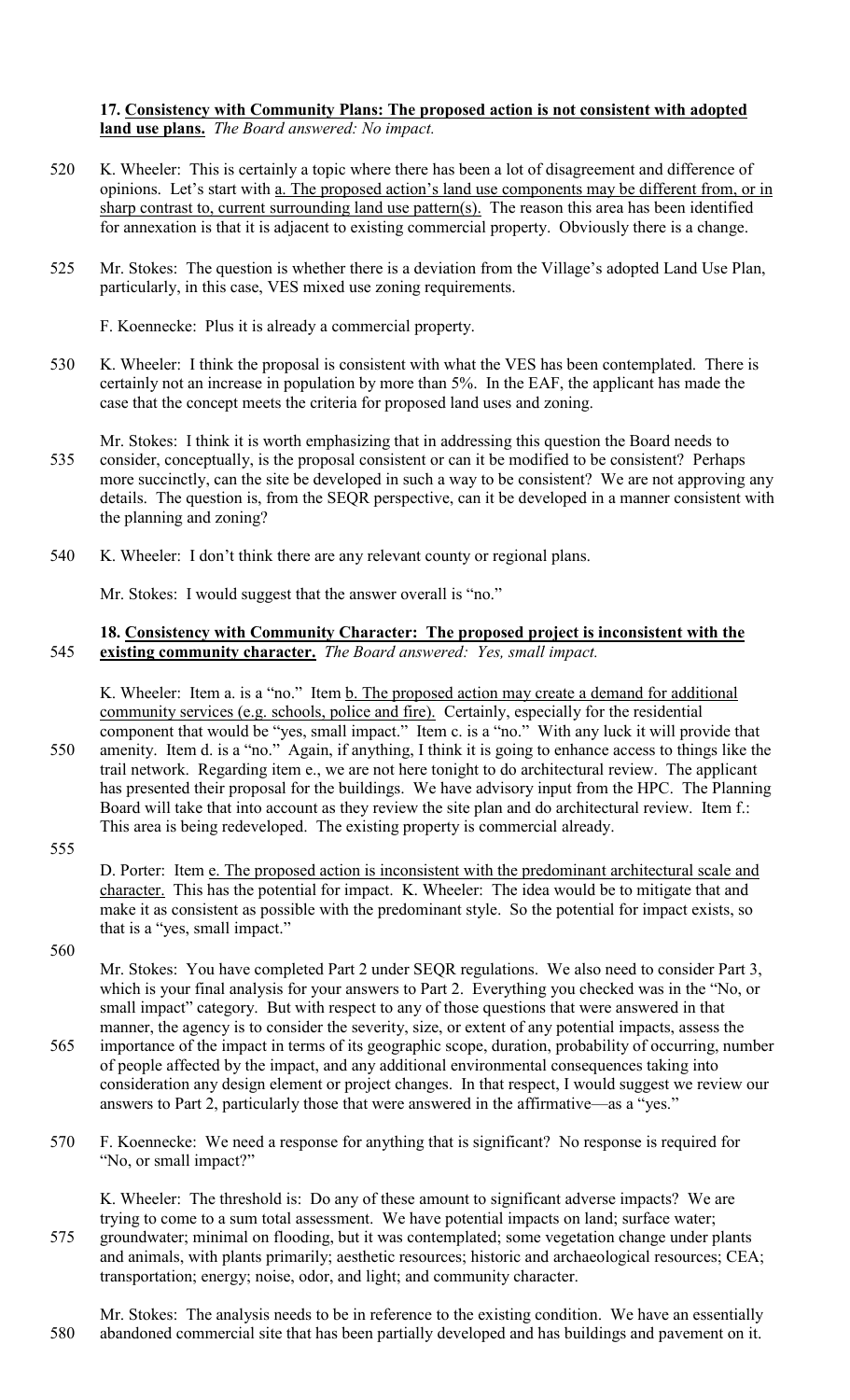## **17. Consistency with Community Plans: The proposed action is not consistent with adopted land use plans.** *The Board answered: No impact.*

- 520 K. Wheeler: This is certainly a topic where there has been a lot of disagreement and difference of opinions. Let's start with a. The proposed action's land use components may be different from, or in sharp contrast to, current surrounding land use pattern(s). The reason this area has been identified for annexation is that it is adjacent to existing commercial property. Obviously there is a change.
- 525 Mr. Stokes: The question is whether there is a deviation from the Village's adopted Land Use Plan, particularly, in this case, VES mixed use zoning requirements.

F. Koennecke: Plus it is already a commercial property.

- 530 K. Wheeler: I think the proposal is consistent with what the VES has been contemplated. There is certainly not an increase in population by more than 5%. In the EAF, the applicant has made the case that the concept meets the criteria for proposed land uses and zoning.
- Mr. Stokes: I think it is worth emphasizing that in addressing this question the Board needs to 535 consider, conceptually, is the proposal consistent or can it be modified to be consistent? Perhaps more succinctly, can the site be developed in such a way to be consistent? We are not approving any details. The question is, from the SEQR perspective, can it be developed in a manner consistent with the planning and zoning?
- 540 K. Wheeler: I don't think there are any relevant county or regional plans.

Mr. Stokes: I would suggest that the answer overall is "no."

## **18. Consistency with Community Character: The proposed project is inconsistent with the**  545 **existing community character.** *The Board answered: Yes, small impact.*

K. Wheeler: Item a. is a "no." Item **b.** The proposed action may create a demand for additional community services (e.g. schools, police and fire). Certainly, especially for the residential component that would be "yes, small impact." Item c. is a "no." With any luck it will provide that

- 550 amenity. Item d. is a "no." Again, if anything, I think it is going to enhance access to things like the trail network. Regarding item e., we are not here tonight to do architectural review. The applicant has presented their proposal for the buildings. We have advisory input from the HPC. The Planning Board will take that into account as they review the site plan and do architectural review. Item f.: This area is being redeveloped. The existing property is commercial already.
- 555

D. Porter: Item e. The proposed action is inconsistent with the predominant architectural scale and character. This has the potential for impact. K. Wheeler: The idea would be to mitigate that and make it as consistent as possible with the predominant style. So the potential for impact exists, so that is a "yes, small impact."

560

Mr. Stokes: You have completed Part 2 under SEQR regulations. We also need to consider Part 3, which is your final analysis for your answers to Part 2. Everything you checked was in the "No, or small impact" category. But with respect to any of those questions that were answered in that manner, the agency is to consider the severity, size, or extent of any potential impacts, assess the

- 565 importance of the impact in terms of its geographic scope, duration, probability of occurring, number of people affected by the impact, and any additional environmental consequences taking into consideration any design element or project changes. In that respect, I would suggest we review our answers to Part 2, particularly those that were answered in the affirmative—as a "yes."
- 570 F. Koennecke: We need a response for anything that is significant? No response is required for "No, or small impact?"

K. Wheeler: The threshold is: Do any of these amount to significant adverse impacts? We are trying to come to a sum total assessment. We have potential impacts on land; surface water; 575 groundwater; minimal on flooding, but it was contemplated; some vegetation change under plants and animals, with plants primarily; aesthetic resources; historic and archaeological resources; CEA; transportation; energy; noise, odor, and light; and community character.

Mr. Stokes: The analysis needs to be in reference to the existing condition. We have an essentially 580 abandoned commercial site that has been partially developed and has buildings and pavement on it.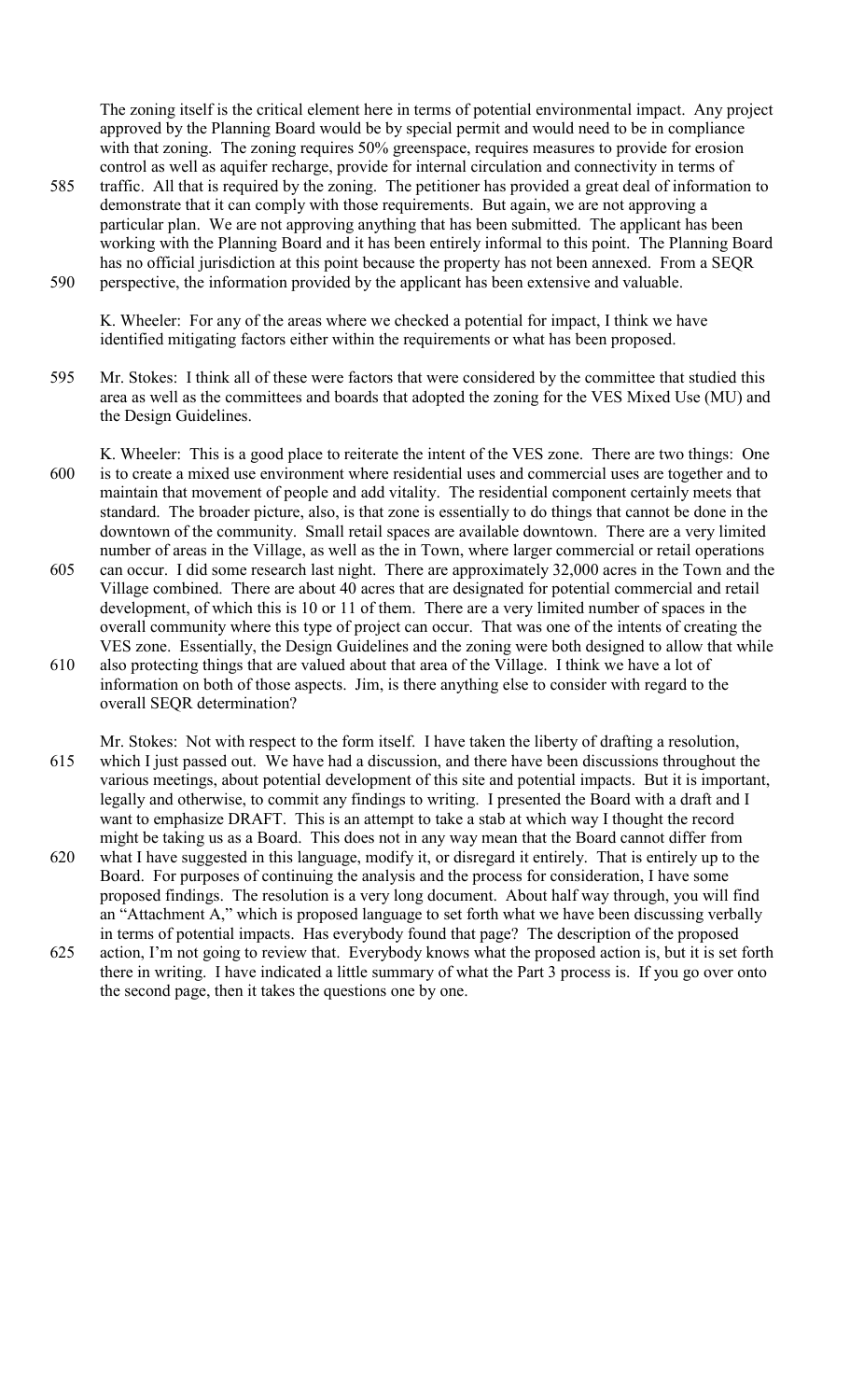The zoning itself is the critical element here in terms of potential environmental impact. Any project approved by the Planning Board would be by special permit and would need to be in compliance with that zoning. The zoning requires 50% greenspace, requires measures to provide for erosion control as well as aquifer recharge, provide for internal circulation and connectivity in terms of

- 585 traffic. All that is required by the zoning. The petitioner has provided a great deal of information to demonstrate that it can comply with those requirements. But again, we are not approving a particular plan. We are not approving anything that has been submitted. The applicant has been working with the Planning Board and it has been entirely informal to this point. The Planning Board has no official jurisdiction at this point because the property has not been annexed. From a SEQR
- 590 perspective, the information provided by the applicant has been extensive and valuable.

K. Wheeler: For any of the areas where we checked a potential for impact, I think we have identified mitigating factors either within the requirements or what has been proposed.

- 595 Mr. Stokes: I think all of these were factors that were considered by the committee that studied this area as well as the committees and boards that adopted the zoning for the VES Mixed Use (MU) and the Design Guidelines.
- K. Wheeler: This is a good place to reiterate the intent of the VES zone. There are two things: One 600 is to create a mixed use environment where residential uses and commercial uses are together and to maintain that movement of people and add vitality. The residential component certainly meets that standard. The broader picture, also, is that zone is essentially to do things that cannot be done in the downtown of the community. Small retail spaces are available downtown. There are a very limited number of areas in the Village, as well as the in Town, where larger commercial or retail operations
- 605 can occur. I did some research last night. There are approximately 32,000 acres in the Town and the Village combined. There are about 40 acres that are designated for potential commercial and retail development, of which this is 10 or 11 of them. There are a very limited number of spaces in the overall community where this type of project can occur. That was one of the intents of creating the VES zone. Essentially, the Design Guidelines and the zoning were both designed to allow that while
- 610 also protecting things that are valued about that area of the Village. I think we have a lot of information on both of those aspects. Jim, is there anything else to consider with regard to the overall SEQR determination?
- Mr. Stokes: Not with respect to the form itself. I have taken the liberty of drafting a resolution, 615 which I just passed out. We have had a discussion, and there have been discussions throughout the various meetings, about potential development of this site and potential impacts. But it is important, legally and otherwise, to commit any findings to writing. I presented the Board with a draft and I want to emphasize DRAFT. This is an attempt to take a stab at which way I thought the record might be taking us as a Board. This does not in any way mean that the Board cannot differ from
- 620 what I have suggested in this language, modify it, or disregard it entirely. That is entirely up to the Board. For purposes of continuing the analysis and the process for consideration, I have some proposed findings. The resolution is a very long document. About half way through, you will find an "Attachment A," which is proposed language to set forth what we have been discussing verbally in terms of potential impacts. Has everybody found that page? The description of the proposed
- 625 action, I'm not going to review that. Everybody knows what the proposed action is, but it is set forth there in writing. I have indicated a little summary of what the Part 3 process is. If you go over onto the second page, then it takes the questions one by one.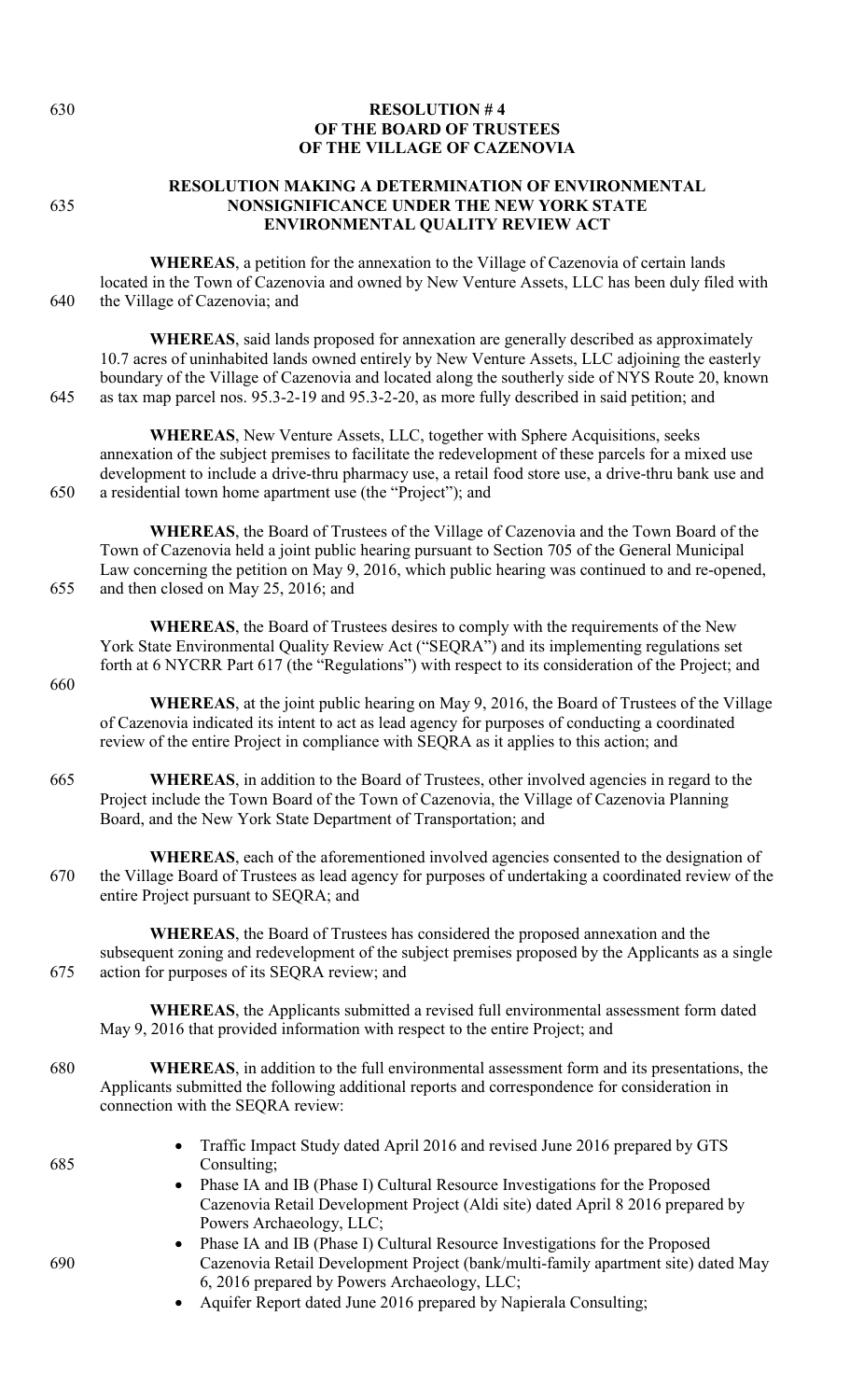# 630 **RESOLUTION # 4 OF THE BOARD OF TRUSTEES OF THE VILLAGE OF CAZENOVIA**

#### **RESOLUTION MAKING A DETERMINATION OF ENVIRONMENTAL**  635 **NONSIGNIFICANCE UNDER THE NEW YORK STATE ENVIRONMENTAL QUALITY REVIEW ACT**

**WHEREAS**, a petition for the annexation to the Village of Cazenovia of certain lands located in the Town of Cazenovia and owned by New Venture Assets, LLC has been duly filed with 640 the Village of Cazenovia; and

**WHEREAS**, said lands proposed for annexation are generally described as approximately 10.7 acres of uninhabited lands owned entirely by New Venture Assets, LLC adjoining the easterly boundary of the Village of Cazenovia and located along the southerly side of NYS Route 20, known 645 as tax map parcel nos. 95.3-2-19 and 95.3-2-20, as more fully described in said petition; and

**WHEREAS**, New Venture Assets, LLC, together with Sphere Acquisitions, seeks annexation of the subject premises to facilitate the redevelopment of these parcels for a mixed use development to include a drive-thru pharmacy use, a retail food store use, a drive-thru bank use and 650 a residential town home apartment use (the "Project"); and

**WHEREAS**, the Board of Trustees of the Village of Cazenovia and the Town Board of the Town of Cazenovia held a joint public hearing pursuant to Section 705 of the General Municipal Law concerning the petition on May 9, 2016, which public hearing was continued to and re-opened, 655 and then closed on May 25, 2016; and

**WHEREAS**, the Board of Trustees desires to comply with the requirements of the New York State Environmental Quality Review Act ("SEQRA") and its implementing regulations set forth at 6 NYCRR Part 617 (the "Regulations") with respect to its consideration of the Project; and

660

**WHEREAS**, at the joint public hearing on May 9, 2016, the Board of Trustees of the Village of Cazenovia indicated its intent to act as lead agency for purposes of conducting a coordinated review of the entire Project in compliance with SEQRA as it applies to this action; and

- 665 **WHEREAS**, in addition to the Board of Trustees, other involved agencies in regard to the Project include the Town Board of the Town of Cazenovia, the Village of Cazenovia Planning Board, and the New York State Department of Transportation; and
- **WHEREAS**, each of the aforementioned involved agencies consented to the designation of 670 the Village Board of Trustees as lead agency for purposes of undertaking a coordinated review of the entire Project pursuant to SEQRA; and

**WHEREAS**, the Board of Trustees has considered the proposed annexation and the subsequent zoning and redevelopment of the subject premises proposed by the Applicants as a single 675 action for purposes of its SEQRA review; and

**WHEREAS**, the Applicants submitted a revised full environmental assessment form dated May 9, 2016 that provided information with respect to the entire Project; and

- 680 **WHEREAS**, in addition to the full environmental assessment form and its presentations, the Applicants submitted the following additional reports and correspondence for consideration in connection with the SEQRA review:
- Traffic Impact Study dated April 2016 and revised June 2016 prepared by GTS 685 Consulting; • Phase IA and IB (Phase I) Cultural Resource Investigations for the Proposed Cazenovia Retail Development Project (Aldi site) dated April 8 2016 prepared by Powers Archaeology, LLC;
- Phase IA and IB (Phase I) Cultural Resource Investigations for the Proposed 690 Cazenovia Retail Development Project (bank/multi-family apartment site) dated May 6, 2016 prepared by Powers Archaeology, LLC;
	- Aquifer Report dated June 2016 prepared by Napierala Consulting;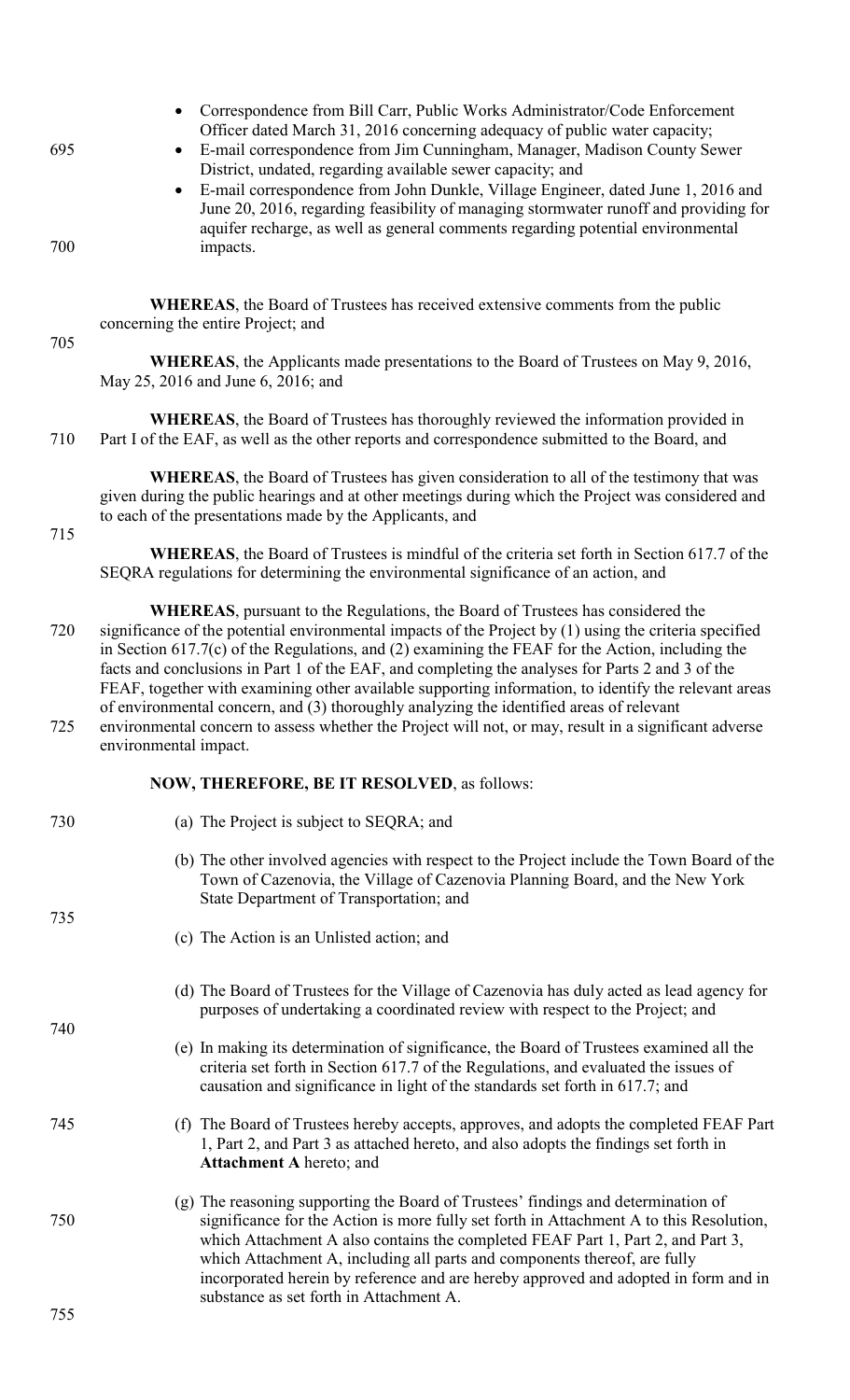| 695 | Correspondence from Bill Carr, Public Works Administrator/Code Enforcement<br>Officer dated March 31, 2016 concerning adequacy of public water capacity;<br>E-mail correspondence from Jim Cunningham, Manager, Madison County Sewer<br>District, undated, regarding available sewer capacity; and<br>E-mail correspondence from John Dunkle, Village Engineer, dated June 1, 2016 and<br>June 20, 2016, regarding feasibility of managing stormwater runoff and providing for<br>aquifer recharge, as well as general comments regarding potential environmental                                             |  |  |  |  |  |
|-----|---------------------------------------------------------------------------------------------------------------------------------------------------------------------------------------------------------------------------------------------------------------------------------------------------------------------------------------------------------------------------------------------------------------------------------------------------------------------------------------------------------------------------------------------------------------------------------------------------------------|--|--|--|--|--|
| 700 | impacts.                                                                                                                                                                                                                                                                                                                                                                                                                                                                                                                                                                                                      |  |  |  |  |  |
| 705 | <b>WHEREAS</b> , the Board of Trustees has received extensive comments from the public<br>concerning the entire Project; and                                                                                                                                                                                                                                                                                                                                                                                                                                                                                  |  |  |  |  |  |
|     | WHEREAS, the Applicants made presentations to the Board of Trustees on May 9, 2016,<br>May 25, 2016 and June 6, 2016; and                                                                                                                                                                                                                                                                                                                                                                                                                                                                                     |  |  |  |  |  |
| 710 | <b>WHEREAS</b> , the Board of Trustees has thoroughly reviewed the information provided in<br>Part I of the EAF, as well as the other reports and correspondence submitted to the Board, and                                                                                                                                                                                                                                                                                                                                                                                                                  |  |  |  |  |  |
| 715 | <b>WHEREAS</b> , the Board of Trustees has given consideration to all of the testimony that was<br>given during the public hearings and at other meetings during which the Project was considered and<br>to each of the presentations made by the Applicants, and                                                                                                                                                                                                                                                                                                                                             |  |  |  |  |  |
|     | WHEREAS, the Board of Trustees is mindful of the criteria set forth in Section 617.7 of the<br>SEQRA regulations for determining the environmental significance of an action, and                                                                                                                                                                                                                                                                                                                                                                                                                             |  |  |  |  |  |
| 720 | <b>WHEREAS</b> , pursuant to the Regulations, the Board of Trustees has considered the<br>significance of the potential environmental impacts of the Project by (1) using the criteria specified<br>in Section $617.7(c)$ of the Regulations, and (2) examining the FEAF for the Action, including the<br>facts and conclusions in Part 1 of the EAF, and completing the analyses for Parts 2 and 3 of the<br>FEAF, together with examining other available supporting information, to identify the relevant areas<br>of environmental concern, and (3) thoroughly analyzing the identified areas of relevant |  |  |  |  |  |
| 725 | environmental concern to assess whether the Project will not, or may, result in a significant adverse<br>environmental impact.                                                                                                                                                                                                                                                                                                                                                                                                                                                                                |  |  |  |  |  |
|     | <b>NOW, THEREFORE, BE IT RESOLVED, as follows:</b>                                                                                                                                                                                                                                                                                                                                                                                                                                                                                                                                                            |  |  |  |  |  |
| 730 | (a) The Project is subject to SEQRA; and                                                                                                                                                                                                                                                                                                                                                                                                                                                                                                                                                                      |  |  |  |  |  |
|     | (b) The other involved agencies with respect to the Project include the Town Board of the<br>Town of Cazenovia, the Village of Cazenovia Planning Board, and the New York<br>State Department of Transportation; and                                                                                                                                                                                                                                                                                                                                                                                          |  |  |  |  |  |
| 735 | (c) The Action is an Unlisted action; and                                                                                                                                                                                                                                                                                                                                                                                                                                                                                                                                                                     |  |  |  |  |  |
| 740 | (d) The Board of Trustees for the Village of Cazenovia has duly acted as lead agency for<br>purposes of undertaking a coordinated review with respect to the Project; and                                                                                                                                                                                                                                                                                                                                                                                                                                     |  |  |  |  |  |
|     | (e) In making its determination of significance, the Board of Trustees examined all the<br>criteria set forth in Section 617.7 of the Regulations, and evaluated the issues of<br>causation and significance in light of the standards set forth in 617.7; and                                                                                                                                                                                                                                                                                                                                                |  |  |  |  |  |
| 745 | (f) The Board of Trustees hereby accepts, approves, and adopts the completed FEAF Part<br>1, Part 2, and Part 3 as attached hereto, and also adopts the findings set forth in<br><b>Attachment A hereto; and</b>                                                                                                                                                                                                                                                                                                                                                                                              |  |  |  |  |  |
| 750 | (g) The reasoning supporting the Board of Trustees' findings and determination of<br>significance for the Action is more fully set forth in Attachment A to this Resolution,<br>which Attachment A also contains the completed FEAF Part 1, Part 2, and Part 3,<br>which Attachment A, including all parts and components thereof, are fully<br>incorporated herein by reference and are hereby approved and adopted in form and in                                                                                                                                                                           |  |  |  |  |  |
| 755 | substance as set forth in Attachment A.                                                                                                                                                                                                                                                                                                                                                                                                                                                                                                                                                                       |  |  |  |  |  |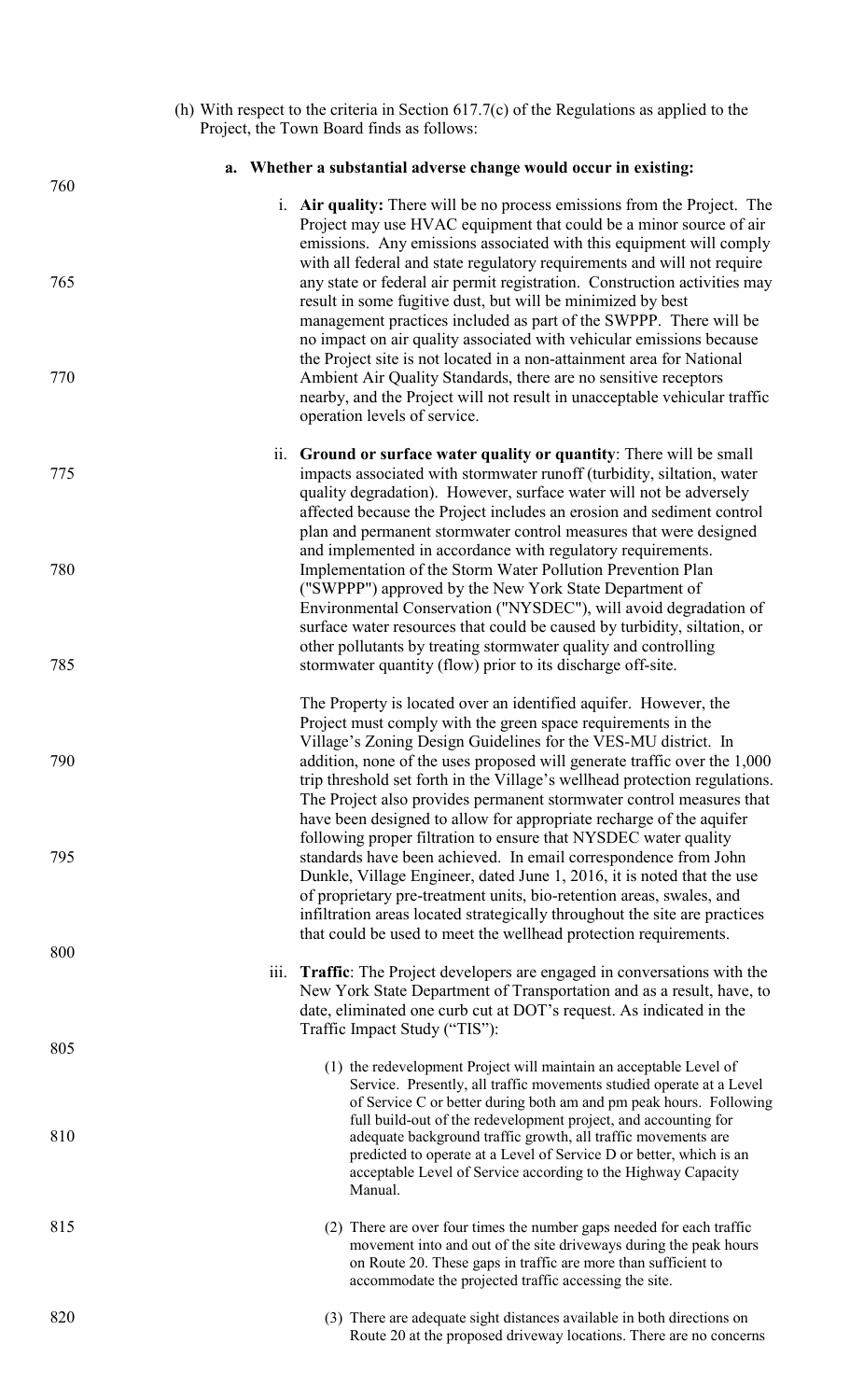(h) With respect to the criteria in Section 617.7(c) of the Regulations as applied to the Project, the Town Board finds as follows:

|            | a. Whether a substantial adverse change would occur in existing:                                                                                                                                                                                                                                                                                                                                                                                                                                                                                                                                                                                                                                                                                                       |
|------------|------------------------------------------------------------------------------------------------------------------------------------------------------------------------------------------------------------------------------------------------------------------------------------------------------------------------------------------------------------------------------------------------------------------------------------------------------------------------------------------------------------------------------------------------------------------------------------------------------------------------------------------------------------------------------------------------------------------------------------------------------------------------|
| 760        | i. Air quality: There will be no process emissions from the Project. The                                                                                                                                                                                                                                                                                                                                                                                                                                                                                                                                                                                                                                                                                               |
| 765<br>770 | Project may use HVAC equipment that could be a minor source of air<br>emissions. Any emissions associated with this equipment will comply<br>with all federal and state regulatory requirements and will not require<br>any state or federal air permit registration. Construction activities may<br>result in some fugitive dust, but will be minimized by best<br>management practices included as part of the SWPPP. There will be<br>no impact on air quality associated with vehicular emissions because<br>the Project site is not located in a non-attainment area for National<br>Ambient Air Quality Standards, there are no sensitive receptors<br>nearby, and the Project will not result in unacceptable vehicular traffic<br>operation levels of service. |
| 775        | ii.<br>Ground or surface water quality or quantity: There will be small<br>impacts associated with stormwater runoff (turbidity, siltation, water<br>quality degradation). However, surface water will not be adversely                                                                                                                                                                                                                                                                                                                                                                                                                                                                                                                                                |
| 780<br>785 | affected because the Project includes an erosion and sediment control<br>plan and permanent stormwater control measures that were designed<br>and implemented in accordance with regulatory requirements.<br>Implementation of the Storm Water Pollution Prevention Plan<br>("SWPPP") approved by the New York State Department of<br>Environmental Conservation ("NYSDEC"), will avoid degradation of<br>surface water resources that could be caused by turbidity, siltation, or<br>other pollutants by treating stormwater quality and controlling<br>stormwater quantity (flow) prior to its discharge off-site.                                                                                                                                                   |
|            |                                                                                                                                                                                                                                                                                                                                                                                                                                                                                                                                                                                                                                                                                                                                                                        |
| 790        | The Property is located over an identified aquifer. However, the<br>Project must comply with the green space requirements in the<br>Village's Zoning Design Guidelines for the VES-MU district. In<br>addition, none of the uses proposed will generate traffic over the 1,000<br>trip threshold set forth in the Village's wellhead protection regulations.<br>The Project also provides permanent stormwater control measures that<br>have been designed to allow for appropriate recharge of the aquifer<br>following proper filtration to ensure that NYSDEC water quality                                                                                                                                                                                         |
| 795<br>800 | standards have been achieved. In email correspondence from John<br>Dunkle, Village Engineer, dated June 1, 2016, it is noted that the use<br>of proprietary pre-treatment units, bio-retention areas, swales, and<br>infiltration areas located strategically throughout the site are practices<br>that could be used to meet the wellhead protection requirements.                                                                                                                                                                                                                                                                                                                                                                                                    |
| 805        | $\overline{111}$ .<br><b>Traffic:</b> The Project developers are engaged in conversations with the<br>New York State Department of Transportation and as a result, have, to<br>date, eliminated one curb cut at DOT's request. As indicated in the<br>Traffic Impact Study ("TIS"):                                                                                                                                                                                                                                                                                                                                                                                                                                                                                    |
| 810        | (1) the redevelopment Project will maintain an acceptable Level of<br>Service. Presently, all traffic movements studied operate at a Level<br>of Service C or better during both am and pm peak hours. Following<br>full build-out of the redevelopment project, and accounting for<br>adequate background traffic growth, all traffic movements are                                                                                                                                                                                                                                                                                                                                                                                                                   |
|            | predicted to operate at a Level of Service D or better, which is an<br>acceptable Level of Service according to the Highway Capacity<br>Manual.                                                                                                                                                                                                                                                                                                                                                                                                                                                                                                                                                                                                                        |
| 815        | (2) There are over four times the number gaps needed for each traffic<br>movement into and out of the site driveways during the peak hours<br>on Route 20. These gaps in traffic are more than sufficient to<br>accommodate the projected traffic accessing the site.                                                                                                                                                                                                                                                                                                                                                                                                                                                                                                  |
| 820        | (3) There are adequate sight distances available in both directions on<br>Route 20 at the proposed driveway locations. There are no concerns                                                                                                                                                                                                                                                                                                                                                                                                                                                                                                                                                                                                                           |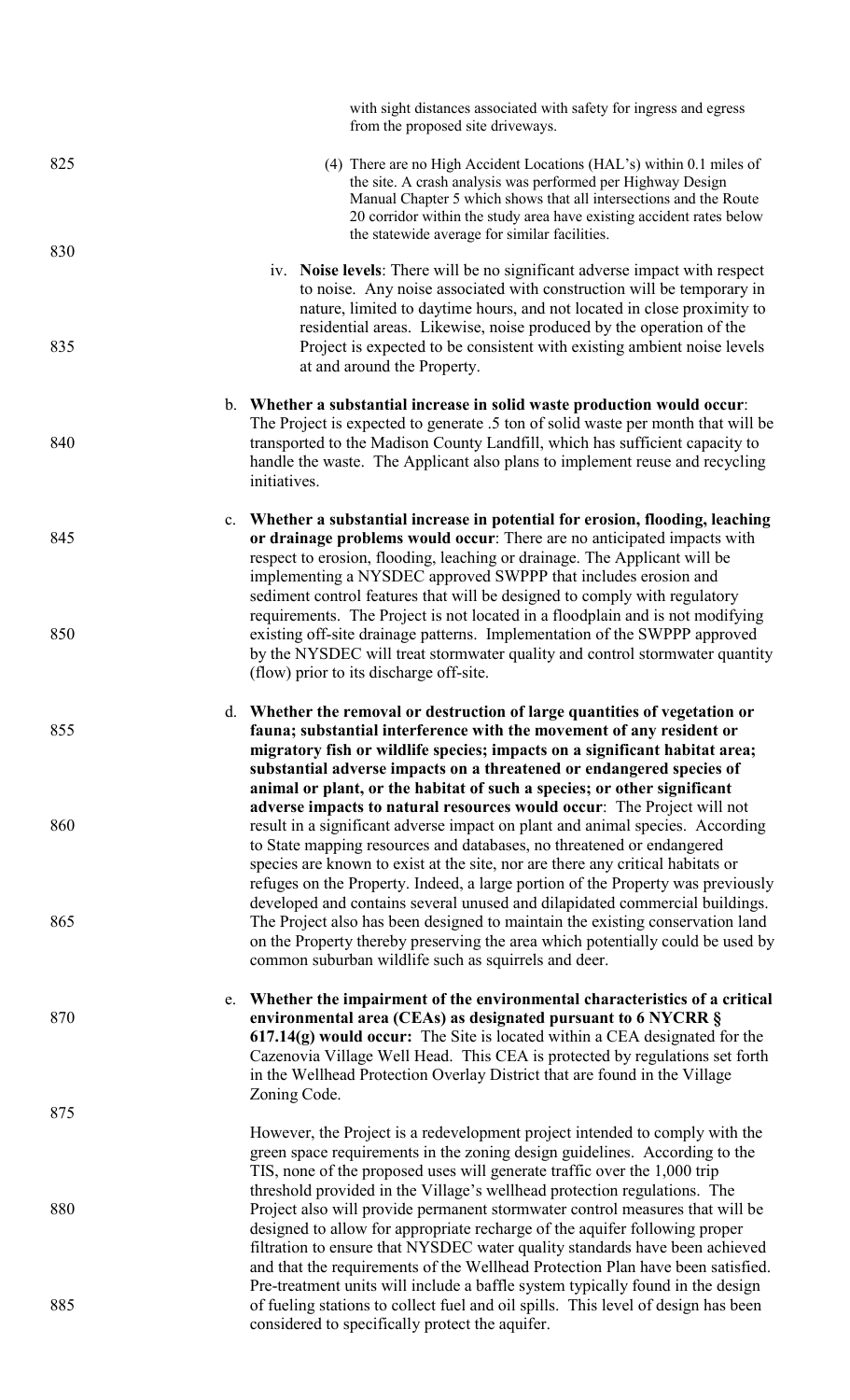|            | with sight distances associated with safety for ingress and egress<br>from the proposed site driveways.                                                                                                                                                                                                                                                                                                                                                                                                                                                                                                                                          |
|------------|--------------------------------------------------------------------------------------------------------------------------------------------------------------------------------------------------------------------------------------------------------------------------------------------------------------------------------------------------------------------------------------------------------------------------------------------------------------------------------------------------------------------------------------------------------------------------------------------------------------------------------------------------|
| 825<br>830 | (4) There are no High Accident Locations (HAL's) within 0.1 miles of<br>the site. A crash analysis was performed per Highway Design<br>Manual Chapter 5 which shows that all intersections and the Route<br>20 corridor within the study area have existing accident rates below<br>the statewide average for similar facilities.                                                                                                                                                                                                                                                                                                                |
| 835        | iv. Noise levels: There will be no significant adverse impact with respect<br>to noise. Any noise associated with construction will be temporary in<br>nature, limited to daytime hours, and not located in close proximity to<br>residential areas. Likewise, noise produced by the operation of the<br>Project is expected to be consistent with existing ambient noise levels                                                                                                                                                                                                                                                                 |
|            | at and around the Property.                                                                                                                                                                                                                                                                                                                                                                                                                                                                                                                                                                                                                      |
| 840        | b. Whether a substantial increase in solid waste production would occur:<br>The Project is expected to generate .5 ton of solid waste per month that will be<br>transported to the Madison County Landfill, which has sufficient capacity to<br>handle the waste. The Applicant also plans to implement reuse and recycling<br>initiatives.                                                                                                                                                                                                                                                                                                      |
| 845        | c. Whether a substantial increase in potential for erosion, flooding, leaching<br>or drainage problems would occur: There are no anticipated impacts with<br>respect to erosion, flooding, leaching or drainage. The Applicant will be<br>implementing a NYSDEC approved SWPPP that includes erosion and<br>sediment control features that will be designed to comply with regulatory                                                                                                                                                                                                                                                            |
| 850        | requirements. The Project is not located in a floodplain and is not modifying<br>existing off-site drainage patterns. Implementation of the SWPPP approved<br>by the NYSDEC will treat stormwater quality and control stormwater quantity<br>(flow) prior to its discharge off-site.                                                                                                                                                                                                                                                                                                                                                             |
| 855        | d. Whether the removal or destruction of large quantities of vegetation or<br>fauna; substantial interference with the movement of any resident or<br>migratory fish or wildlife species; impacts on a significant habitat area;<br>substantial adverse impacts on a threatened or endangered species of<br>animal or plant, or the habitat of such a species; or other significant                                                                                                                                                                                                                                                              |
| 860        | adverse impacts to natural resources would occur: The Project will not<br>result in a significant adverse impact on plant and animal species. According<br>to State mapping resources and databases, no threatened or endangered<br>species are known to exist at the site, nor are there any critical habitats or<br>refuges on the Property. Indeed, a large portion of the Property was previously                                                                                                                                                                                                                                            |
| 865        | developed and contains several unused and dilapidated commercial buildings.<br>The Project also has been designed to maintain the existing conservation land<br>on the Property thereby preserving the area which potentially could be used by<br>common suburban wildlife such as squirrels and deer.                                                                                                                                                                                                                                                                                                                                           |
| 870        | e. Whether the impairment of the environmental characteristics of a critical<br>environmental area (CEAs) as designated pursuant to 6 NYCRR §<br>$617.14(g)$ would occur: The Site is located within a CEA designated for the<br>Cazenovia Village Well Head. This CEA is protected by regulations set forth<br>in the Wellhead Protection Overlay District that are found in the Village                                                                                                                                                                                                                                                        |
| 875        | Zoning Code.                                                                                                                                                                                                                                                                                                                                                                                                                                                                                                                                                                                                                                     |
| 880        | However, the Project is a redevelopment project intended to comply with the<br>green space requirements in the zoning design guidelines. According to the<br>TIS, none of the proposed uses will generate traffic over the 1,000 trip<br>threshold provided in the Village's wellhead protection regulations. The<br>Project also will provide permanent stormwater control measures that will be<br>designed to allow for appropriate recharge of the aquifer following proper<br>filtration to ensure that NYSDEC water quality standards have been achieved<br>and that the requirements of the Wellhead Protection Plan have been satisfied. |
| 885        | Pre-treatment units will include a baffle system typically found in the design<br>of fueling stations to collect fuel and oil spills. This level of design has been<br>considered to specifically protect the aquifer.                                                                                                                                                                                                                                                                                                                                                                                                                           |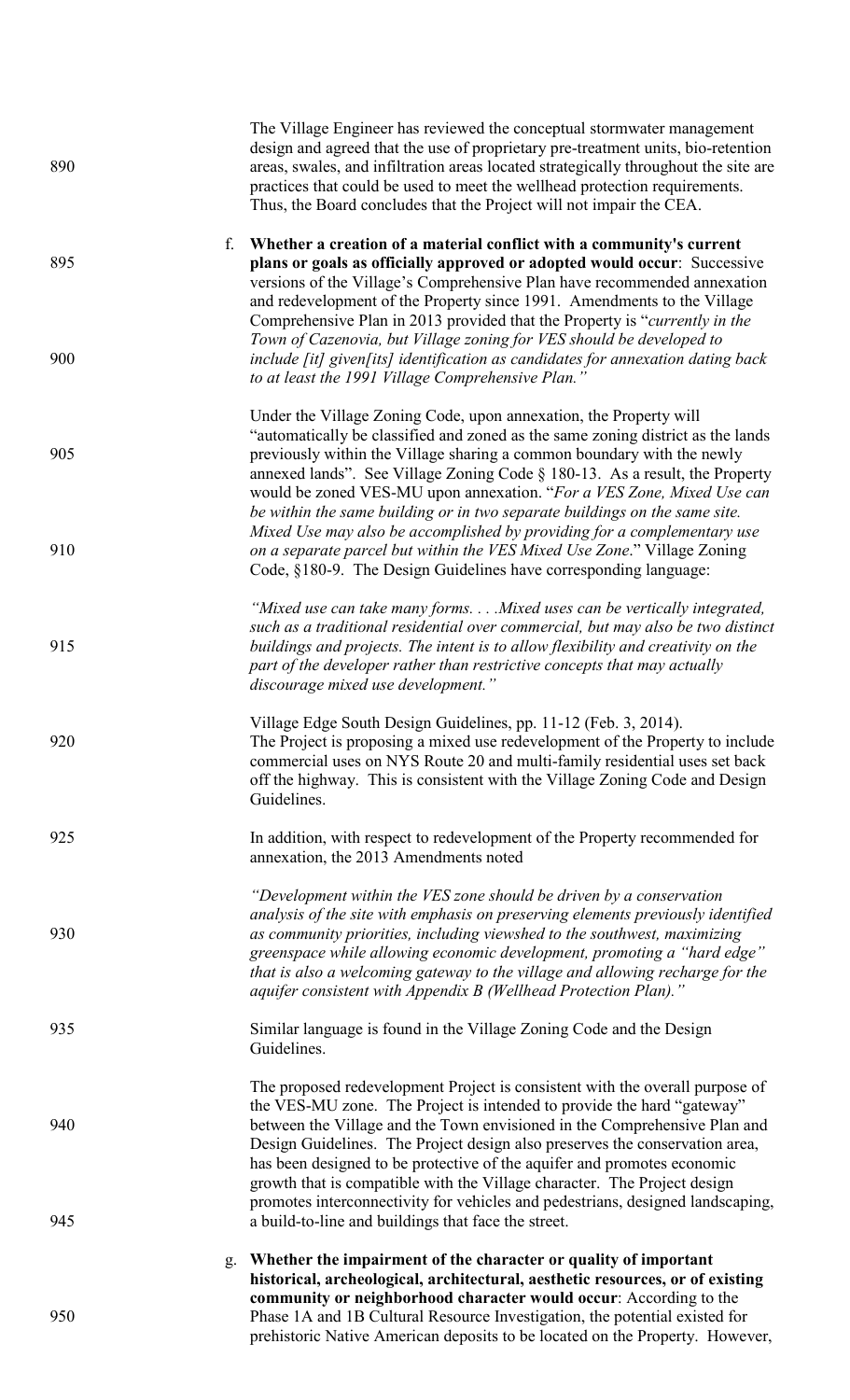| 890        |    | The Village Engineer has reviewed the conceptual stormwater management<br>design and agreed that the use of proprietary pre-treatment units, bio-retention<br>areas, swales, and infiltration areas located strategically throughout the site are<br>practices that could be used to meet the wellhead protection requirements.<br>Thus, the Board concludes that the Project will not impair the CEA.                                                                                                                                                                                                             |
|------------|----|--------------------------------------------------------------------------------------------------------------------------------------------------------------------------------------------------------------------------------------------------------------------------------------------------------------------------------------------------------------------------------------------------------------------------------------------------------------------------------------------------------------------------------------------------------------------------------------------------------------------|
| 895        | f. | Whether a creation of a material conflict with a community's current<br>plans or goals as officially approved or adopted would occur: Successive<br>versions of the Village's Comprehensive Plan have recommended annexation<br>and redevelopment of the Property since 1991. Amendments to the Village<br>Comprehensive Plan in 2013 provided that the Property is "currently in the                                                                                                                                                                                                                              |
| 900        |    | Town of Cazenovia, but Village zoning for VES should be developed to<br>include [it] given[its] identification as candidates for annexation dating back<br>to at least the 1991 Village Comprehensive Plan."                                                                                                                                                                                                                                                                                                                                                                                                       |
| 905        |    | Under the Village Zoning Code, upon annexation, the Property will<br>"automatically be classified and zoned as the same zoning district as the lands<br>previously within the Village sharing a common boundary with the newly<br>annexed lands". See Village Zoning Code § 180-13. As a result, the Property<br>would be zoned VES-MU upon annexation. "For a VES Zone, Mixed Use can<br>be within the same building or in two separate buildings on the same site.                                                                                                                                               |
| 910        |    | Mixed Use may also be accomplished by providing for a complementary use<br>on a separate parcel but within the VES Mixed Use Zone." Village Zoning<br>Code, §180-9. The Design Guidelines have corresponding language:                                                                                                                                                                                                                                                                                                                                                                                             |
| 915        |    | "Mixed use can take many forms .Mixed uses can be vertically integrated,<br>such as a traditional residential over commercial, but may also be two distinct<br>buildings and projects. The intent is to allow flexibility and creativity on the<br>part of the developer rather than restrictive concepts that may actually<br>discourage mixed use development."                                                                                                                                                                                                                                                  |
| 920        |    | Village Edge South Design Guidelines, pp. 11-12 (Feb. 3, 2014).<br>The Project is proposing a mixed use redevelopment of the Property to include<br>commercial uses on NYS Route 20 and multi-family residential uses set back<br>off the highway. This is consistent with the Village Zoning Code and Design<br>Guidelines.                                                                                                                                                                                                                                                                                       |
| 925        |    | In addition, with respect to redevelopment of the Property recommended for<br>annexation, the 2013 Amendments noted                                                                                                                                                                                                                                                                                                                                                                                                                                                                                                |
| 930        |    | "Development within the VES zone should be driven by a conservation<br>analysis of the site with emphasis on preserving elements previously identified<br>as community priorities, including viewshed to the southwest, maximizing<br>greenspace while allowing economic development, promoting a "hard edge"<br>that is also a welcoming gateway to the village and allowing recharge for the<br>aquifer consistent with Appendix B (Wellhead Protection Plan)."                                                                                                                                                  |
| 935        |    | Similar language is found in the Village Zoning Code and the Design<br>Guidelines.                                                                                                                                                                                                                                                                                                                                                                                                                                                                                                                                 |
| 940<br>945 |    | The proposed redevelopment Project is consistent with the overall purpose of<br>the VES-MU zone. The Project is intended to provide the hard "gateway"<br>between the Village and the Town envisioned in the Comprehensive Plan and<br>Design Guidelines. The Project design also preserves the conservation area,<br>has been designed to be protective of the aquifer and promotes economic<br>growth that is compatible with the Village character. The Project design<br>promotes interconnectivity for vehicles and pedestrians, designed landscaping,<br>a build-to-line and buildings that face the street. |
| 950        | g. | Whether the impairment of the character or quality of important<br>historical, archeological, architectural, aesthetic resources, or of existing<br>community or neighborhood character would occur: According to the<br>Phase 1A and 1B Cultural Resource Investigation, the potential existed for<br>prehistoric Native American deposits to be located on the Property. However,                                                                                                                                                                                                                                |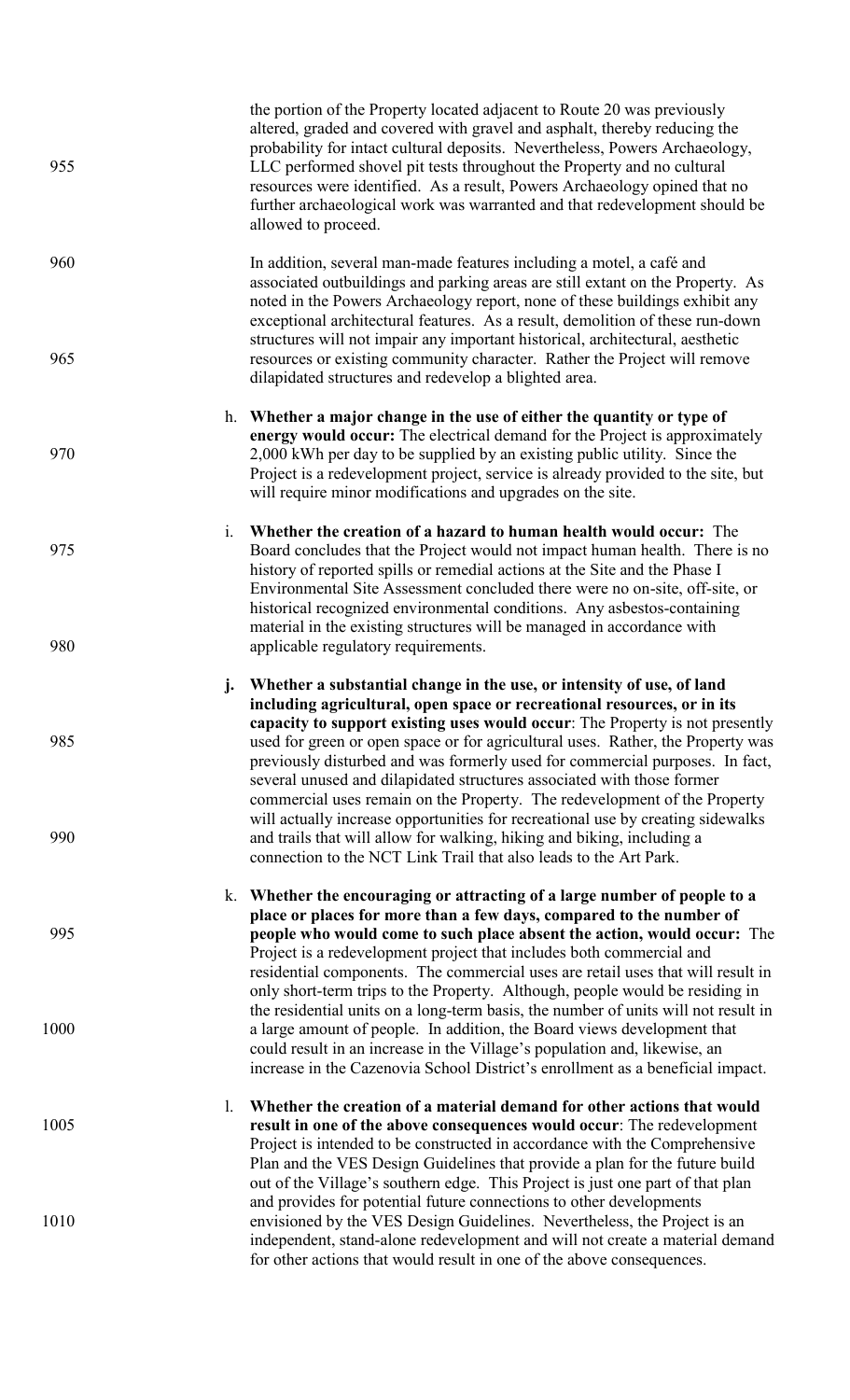| 955        |                | the portion of the Property located adjacent to Route 20 was previously<br>altered, graded and covered with gravel and asphalt, thereby reducing the<br>probability for intact cultural deposits. Nevertheless, Powers Archaeology,<br>LLC performed shovel pit tests throughout the Property and no cultural<br>resources were identified. As a result, Powers Archaeology opined that no<br>further archaeological work was warranted and that redevelopment should be<br>allowed to proceed.                                                            |
|------------|----------------|------------------------------------------------------------------------------------------------------------------------------------------------------------------------------------------------------------------------------------------------------------------------------------------------------------------------------------------------------------------------------------------------------------------------------------------------------------------------------------------------------------------------------------------------------------|
| 960<br>965 |                | In addition, several man-made features including a motel, a café and<br>associated outbuildings and parking areas are still extant on the Property. As<br>noted in the Powers Archaeology report, none of these buildings exhibit any<br>exceptional architectural features. As a result, demolition of these run-down<br>structures will not impair any important historical, architectural, aesthetic<br>resources or existing community character. Rather the Project will remove<br>dilapidated structures and redevelop a blighted area.              |
| 970        |                | h. Whether a major change in the use of either the quantity or type of<br>energy would occur: The electrical demand for the Project is approximately<br>2,000 kWh per day to be supplied by an existing public utility. Since the<br>Project is a redevelopment project, service is already provided to the site, but<br>will require minor modifications and upgrades on the site.                                                                                                                                                                        |
| 975<br>980 | $\mathbf{i}$ . | Whether the creation of a hazard to human health would occur: The<br>Board concludes that the Project would not impact human health. There is no<br>history of reported spills or remedial actions at the Site and the Phase I<br>Environmental Site Assessment concluded there were no on-site, off-site, or<br>historical recognized environmental conditions. Any asbestos-containing<br>material in the existing structures will be managed in accordance with<br>applicable regulatory requirements.                                                  |
| 985        | j.             | Whether a substantial change in the use, or intensity of use, of land<br>including agricultural, open space or recreational resources, or in its<br>capacity to support existing uses would occur: The Property is not presently<br>used for green or open space or for agricultural uses. Rather, the Property was<br>previously disturbed and was formerly used for commercial purposes. In fact,<br>several unused and dilapidated structures associated with those former<br>commercial uses remain on the Property. The redevelopment of the Property |
| 990        |                | will actually increase opportunities for recreational use by creating sidewalks<br>and trails that will allow for walking, hiking and biking, including a<br>connection to the NCT Link Trail that also leads to the Art Park.                                                                                                                                                                                                                                                                                                                             |
| 995        |                | k. Whether the encouraging or attracting of a large number of people to a<br>place or places for more than a few days, compared to the number of<br>people who would come to such place absent the action, would occur: The<br>Project is a redevelopment project that includes both commercial and<br>residential components. The commercial uses are retail uses that will result in<br>only short-term trips to the Property. Although, people would be residing in                                                                                     |
| 1000       |                | the residential units on a long-term basis, the number of units will not result in<br>a large amount of people. In addition, the Board views development that<br>could result in an increase in the Village's population and, likewise, an<br>increase in the Cazenovia School District's enrollment as a beneficial impact.                                                                                                                                                                                                                               |
| 1005       | 1.             | Whether the creation of a material demand for other actions that would<br>result in one of the above consequences would occur: The redevelopment<br>Project is intended to be constructed in accordance with the Comprehensive<br>Plan and the VES Design Guidelines that provide a plan for the future build<br>out of the Village's southern edge. This Project is just one part of that plan                                                                                                                                                            |
| 1010       |                | and provides for potential future connections to other developments<br>envisioned by the VES Design Guidelines. Nevertheless, the Project is an<br>independent, stand-alone redevelopment and will not create a material demand<br>for other actions that would result in one of the above consequences.                                                                                                                                                                                                                                                   |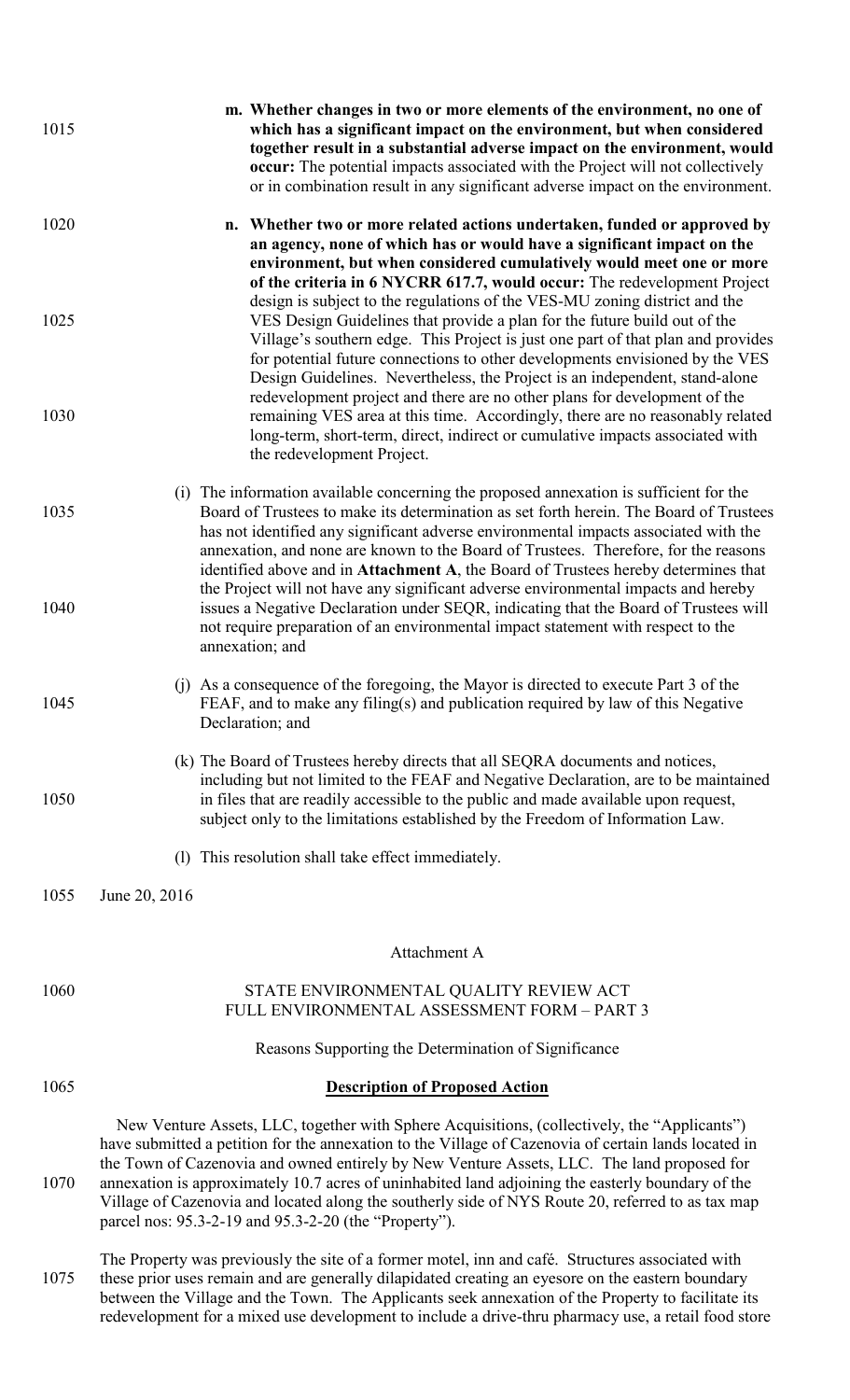| 1015 | m. Whether changes in two or more elements of the environment, no one of<br>which has a significant impact on the environment, but when considered<br>together result in a substantial adverse impact on the environment, would<br>occur: The potential impacts associated with the Project will not collectively<br>or in combination result in any significant adverse impact on the environment.                                                                                                                                                                   |
|------|-----------------------------------------------------------------------------------------------------------------------------------------------------------------------------------------------------------------------------------------------------------------------------------------------------------------------------------------------------------------------------------------------------------------------------------------------------------------------------------------------------------------------------------------------------------------------|
| 1020 | n. Whether two or more related actions undertaken, funded or approved by<br>an agency, none of which has or would have a significant impact on the<br>environment, but when considered cumulatively would meet one or more<br>of the criteria in 6 NYCRR 617.7, would occur: The redevelopment Project                                                                                                                                                                                                                                                                |
| 1025 | design is subject to the regulations of the VES-MU zoning district and the<br>VES Design Guidelines that provide a plan for the future build out of the<br>Village's southern edge. This Project is just one part of that plan and provides<br>for potential future connections to other developments envisioned by the VES<br>Design Guidelines. Nevertheless, the Project is an independent, stand-alone                                                                                                                                                            |
| 1030 | redevelopment project and there are no other plans for development of the<br>remaining VES area at this time. Accordingly, there are no reasonably related<br>long-term, short-term, direct, indirect or cumulative impacts associated with<br>the redevelopment Project.                                                                                                                                                                                                                                                                                             |
| 1035 | (i) The information available concerning the proposed annexation is sufficient for the<br>Board of Trustees to make its determination as set forth herein. The Board of Trustees<br>has not identified any significant adverse environmental impacts associated with the<br>annexation, and none are known to the Board of Trustees. Therefore, for the reasons<br>identified above and in Attachment A, the Board of Trustees hereby determines that                                                                                                                 |
| 1040 | the Project will not have any significant adverse environmental impacts and hereby<br>issues a Negative Declaration under SEQR, indicating that the Board of Trustees will<br>not require preparation of an environmental impact statement with respect to the<br>annexation; and                                                                                                                                                                                                                                                                                     |
| 1045 | (j) As a consequence of the foregoing, the Mayor is directed to execute Part 3 of the<br>FEAF, and to make any filing(s) and publication required by law of this Negative<br>Declaration; and                                                                                                                                                                                                                                                                                                                                                                         |
| 1050 | (k) The Board of Trustees hereby directs that all SEQRA documents and notices,<br>including but not limited to the FEAF and Negative Declaration, are to be maintained<br>in files that are readily accessible to the public and made available upon request,<br>subject only to the limitations established by the Freedom of Information Law.                                                                                                                                                                                                                       |
|      | This resolution shall take effect immediately.<br>(1)                                                                                                                                                                                                                                                                                                                                                                                                                                                                                                                 |
| 1055 | June 20, 2016                                                                                                                                                                                                                                                                                                                                                                                                                                                                                                                                                         |
|      | Attachment A                                                                                                                                                                                                                                                                                                                                                                                                                                                                                                                                                          |
| 1060 | STATE ENVIRONMENTAL QUALITY REVIEW ACT<br>FULL ENVIRONMENTAL ASSESSMENT FORM - PART 3                                                                                                                                                                                                                                                                                                                                                                                                                                                                                 |
|      | Reasons Supporting the Determination of Significance                                                                                                                                                                                                                                                                                                                                                                                                                                                                                                                  |
| 1065 | <b>Description of Proposed Action</b>                                                                                                                                                                                                                                                                                                                                                                                                                                                                                                                                 |
| 1070 | New Venture Assets, LLC, together with Sphere Acquisitions, (collectively, the "Applicants")<br>have submitted a petition for the annexation to the Village of Cazenovia of certain lands located in<br>the Town of Cazenovia and owned entirely by New Venture Assets, LLC. The land proposed for<br>annexation is approximately 10.7 acres of uninhabited land adjoining the easterly boundary of the<br>Village of Cazenovia and located along the southerly side of NYS Route 20, referred to as tax map<br>parcel nos: 95.3-2-19 and 95.3-2-20 (the "Property"). |
|      | The Property was previously the site of a former motel, inn and café. Structures associated with<br>$\sim$ 1.1 $\sim$ 1.1 $\sim$ 1.1 $\sim$ 1.1 $\sim$ 1.1 $\sim$ 1.1                                                                                                                                                                                                                                                                                                                                                                                                 |

1075 these prior uses remain and are generally dilapidated creating an eyesore on the eastern boundary between the Village and the Town. The Applicants seek annexation of the Property to facilitate its redevelopment for a mixed use development to include a drive-thru pharmacy use, a retail food store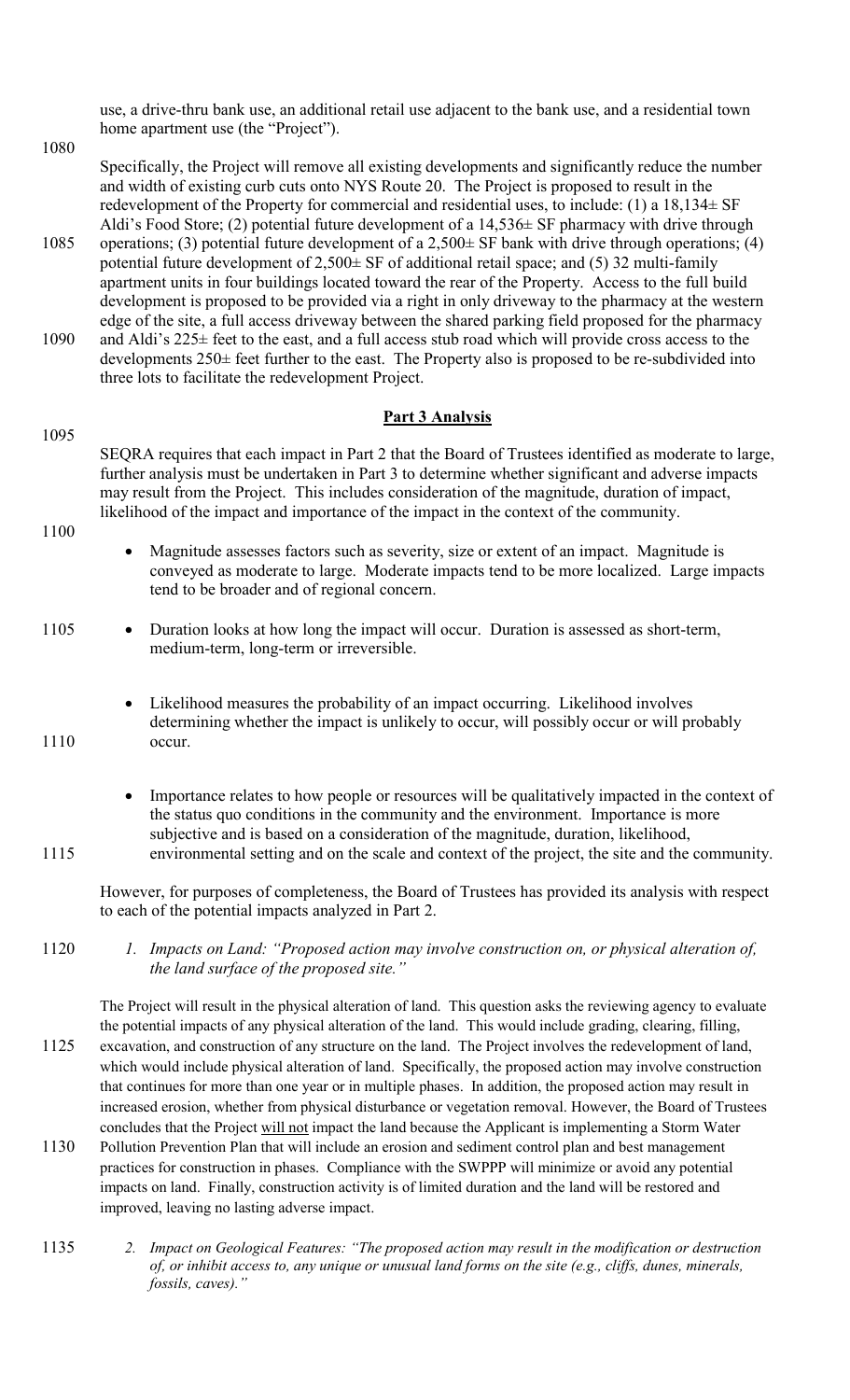use, a drive-thru bank use, an additional retail use adjacent to the bank use, and a residential town home apartment use (the "Project").

Specifically, the Project will remove all existing developments and significantly reduce the number and width of existing curb cuts onto NYS Route 20. The Project is proposed to result in the redevelopment of the Property for commercial and residential uses, to include: (1) a 18,134± SF Aldi's Food Store; (2) potential future development of a 14,536± SF pharmacy with drive through

- 1085 operations; (3) potential future development of a  $2,500\pm$  SF bank with drive through operations; (4) potential future development of  $2,500 \pm S$ F of additional retail space; and (5) 32 multi-family apartment units in four buildings located toward the rear of the Property. Access to the full build development is proposed to be provided via a right in only driveway to the pharmacy at the western edge of the site, a full access driveway between the shared parking field proposed for the pharmacy
- 1090 and Aldi's 225± feet to the east, and a full access stub road which will provide cross access to the developments 250± feet further to the east. The Property also is proposed to be re-subdivided into three lots to facilitate the redevelopment Project.

## **Part 3 Analysis**

SEQRA requires that each impact in Part 2 that the Board of Trustees identified as moderate to large, further analysis must be undertaken in Part 3 to determine whether significant and adverse impacts may result from the Project. This includes consideration of the magnitude, duration of impact, likelihood of the impact and importance of the impact in the context of the community.

1100

1095

1080

- Magnitude assesses factors such as severity, size or extent of an impact. Magnitude is conveyed as moderate to large. Moderate impacts tend to be more localized. Large impacts tend to be broader and of regional concern.
- 1105 Duration looks at how long the impact will occur. Duration is assessed as short-term, medium-term, long-term or irreversible.
- Likelihood measures the probability of an impact occurring. Likelihood involves determining whether the impact is unlikely to occur, will possibly occur or will probably 1110 occur.
- Importance relates to how people or resources will be qualitatively impacted in the context of the status quo conditions in the community and the environment. Importance is more subjective and is based on a consideration of the magnitude, duration, likelihood, 1115 environmental setting and on the scale and context of the project, the site and the community.

However, for purposes of completeness, the Board of Trustees has provided its analysis with respect to each of the potential impacts analyzed in Part 2.

1120 *1. Impacts on Land: "Proposed action may involve construction on, or physical alteration of, the land surface of the proposed site."* 

The Project will result in the physical alteration of land. This question asks the reviewing agency to evaluate the potential impacts of any physical alteration of the land. This would include grading, clearing, filling, 1125 excavation, and construction of any structure on the land. The Project involves the redevelopment of land, which would include physical alteration of land. Specifically, the proposed action may involve construction that continues for more than one year or in multiple phases. In addition, the proposed action may result in increased erosion, whether from physical disturbance or vegetation removal. However, the Board of Trustees concludes that the Project will not impact the land because the Applicant is implementing a Storm Water

- 1130 Pollution Prevention Plan that will include an erosion and sediment control plan and best management practices for construction in phases. Compliance with the SWPPP will minimize or avoid any potential impacts on land. Finally, construction activity is of limited duration and the land will be restored and improved, leaving no lasting adverse impact.
- 1135 *2. Impact on Geological Features: "The proposed action may result in the modification or destruction of, or inhibit access to, any unique or unusual land forms on the site (e.g., cliffs, dunes, minerals, fossils, caves)."*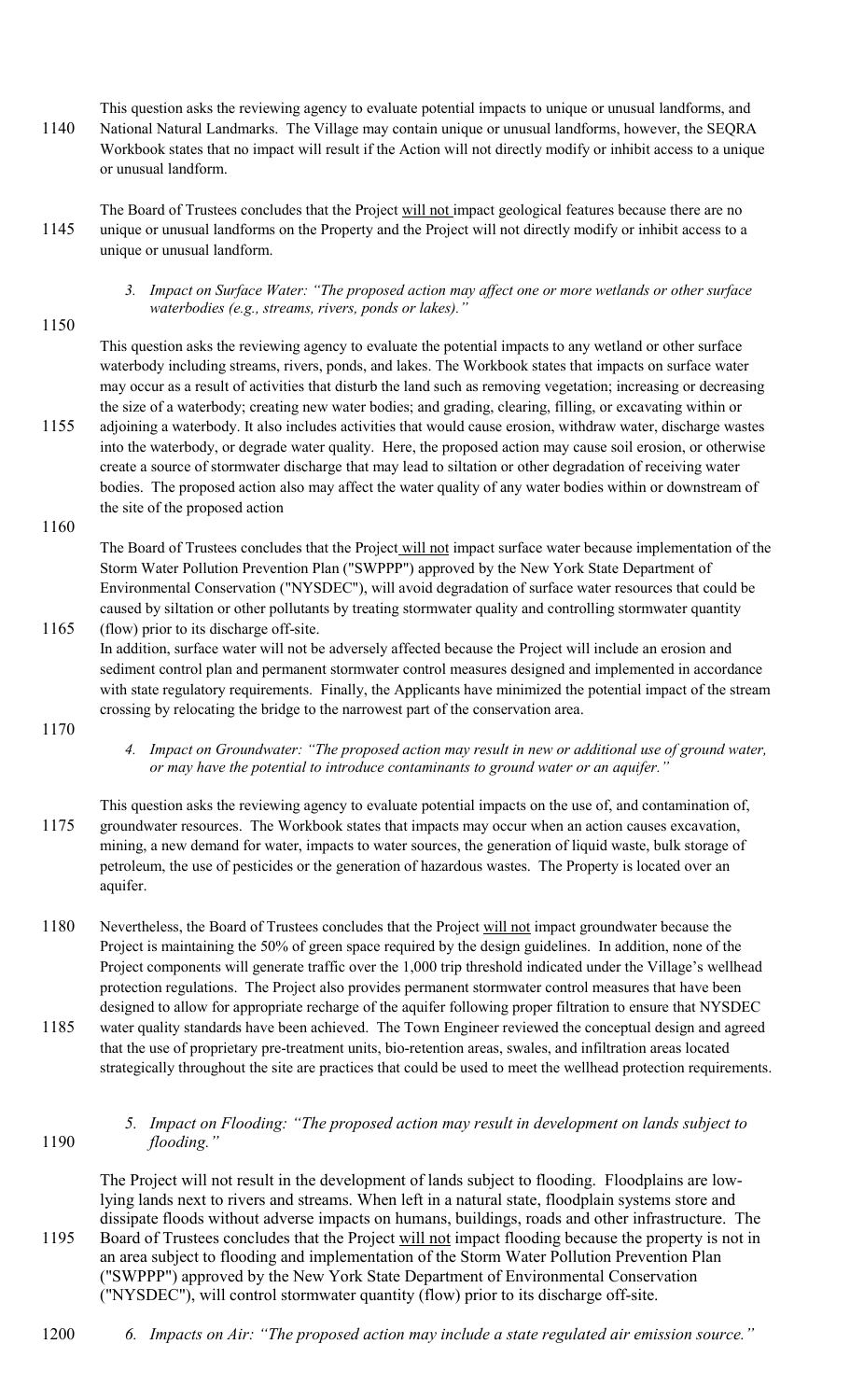- This question asks the reviewing agency to evaluate potential impacts to unique or unusual landforms, and 1140 National Natural Landmarks. The Village may contain unique or unusual landforms, however, the SEQRA Workbook states that no impact will result if the Action will not directly modify or inhibit access to a unique or unusual landform.
- The Board of Trustees concludes that the Project will not impact geological features because there are no 1145 unique or unusual landforms on the Property and the Project will not directly modify or inhibit access to a unique or unusual landform.
- 1150

*3. Impact on Surface Water: "The proposed action may affect one or more wetlands or other surface waterbodies (e.g., streams, rivers, ponds or lakes)."* 

This question asks the reviewing agency to evaluate the potential impacts to any wetland or other surface waterbody including streams, rivers, ponds, and lakes. The Workbook states that impacts on surface water may occur as a result of activities that disturb the land such as removing vegetation; increasing or decreasing the size of a waterbody; creating new water bodies; and grading, clearing, filling, or excavating within or

- 1155 adjoining a waterbody. It also includes activities that would cause erosion, withdraw water, discharge wastes into the waterbody, or degrade water quality. Here, the proposed action may cause soil erosion, or otherwise create a source of stormwater discharge that may lead to siltation or other degradation of receiving water bodies. The proposed action also may affect the water quality of any water bodies within or downstream of the site of the proposed action
- 1160

The Board of Trustees concludes that the Project will not impact surface water because implementation of the Storm Water Pollution Prevention Plan ("SWPPP") approved by the New York State Department of Environmental Conservation ("NYSDEC"), will avoid degradation of surface water resources that could be caused by siltation or other pollutants by treating stormwater quality and controlling stormwater quantity 1165 (flow) prior to its discharge off-site.

In addition, surface water will not be adversely affected because the Project will include an erosion and sediment control plan and permanent stormwater control measures designed and implemented in accordance with state regulatory requirements. Finally, the Applicants have minimized the potential impact of the stream crossing by relocating the bridge to the narrowest part of the conservation area.

1170

*4. Impact on Groundwater: "The proposed action may result in new or additional use of ground water, or may have the potential to introduce contaminants to ground water or an aquifer."* 

This question asks the reviewing agency to evaluate potential impacts on the use of, and contamination of, 1175 groundwater resources. The Workbook states that impacts may occur when an action causes excavation, mining, a new demand for water, impacts to water sources, the generation of liquid waste, bulk storage of petroleum, the use of pesticides or the generation of hazardous wastes. The Property is located over an aquifer.

- 1180 Nevertheless, the Board of Trustees concludes that the Project will not impact groundwater because the Project is maintaining the 50% of green space required by the design guidelines. In addition, none of the Project components will generate traffic over the 1,000 trip threshold indicated under the Village's wellhead protection regulations. The Project also provides permanent stormwater control measures that have been designed to allow for appropriate recharge of the aquifer following proper filtration to ensure that NYSDEC 1185 water quality standards have been achieved. The Town Engineer reviewed the conceptual design and agreed
	- that the use of proprietary pre-treatment units, bio-retention areas, swales, and infiltration areas located strategically throughout the site are practices that could be used to meet the wellhead protection requirements.

# *5. Impact on Flooding: "The proposed action may result in development on lands subject to*  1190 *flooding."*

The Project will not result in the development of lands subject to flooding. Floodplains are lowlying lands next to rivers and streams. When left in a natural state, floodplain systems store and dissipate floods without adverse impacts on humans, buildings, roads and other infrastructure. The 1195 Board of Trustees concludes that the Project will not impact flooding because the property is not in an area subject to flooding and implementation of the Storm Water Pollution Prevention Plan ("SWPPP") approved by the New York State Department of Environmental Conservation ("NYSDEC"), will control stormwater quantity (flow) prior to its discharge off-site.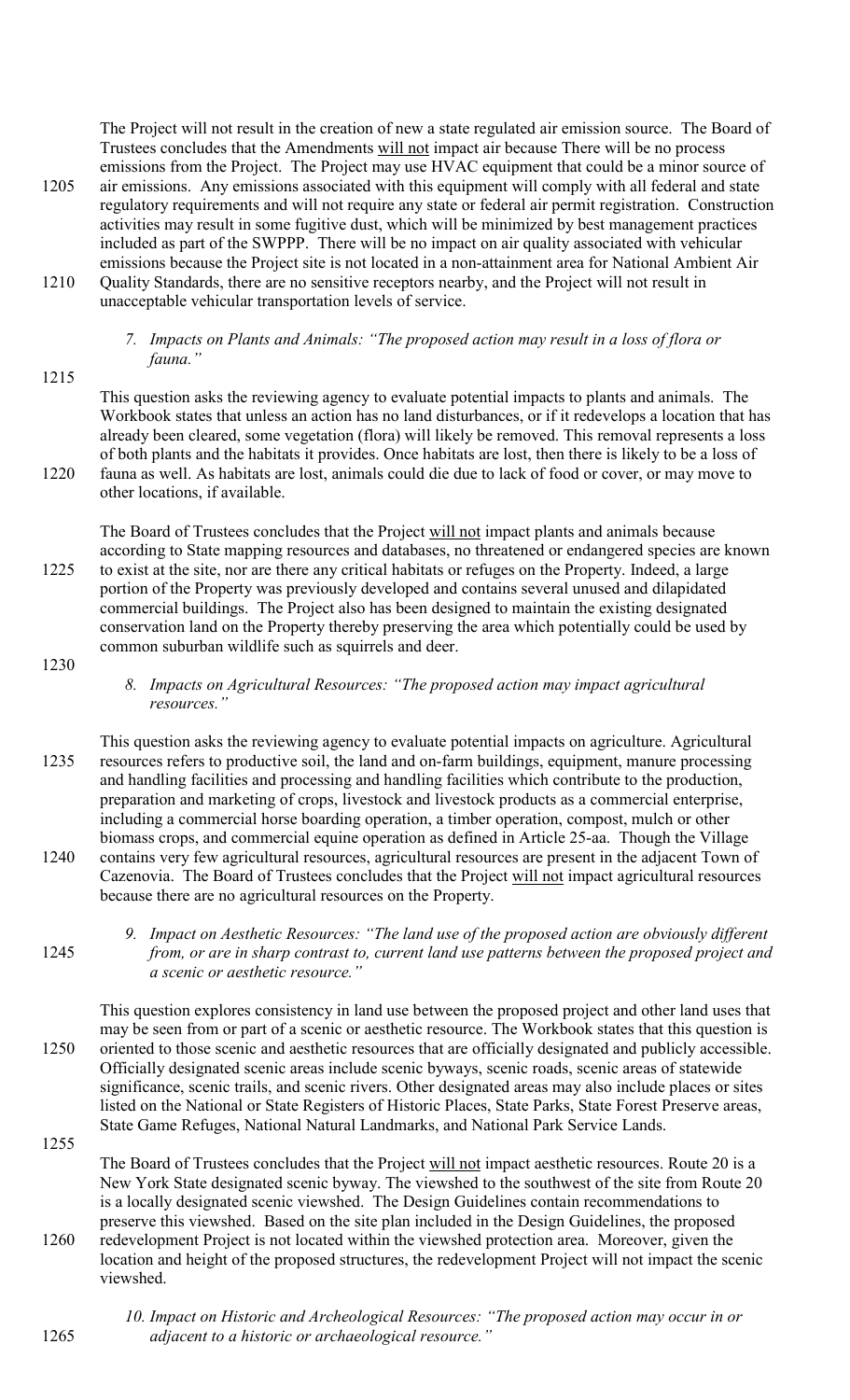The Project will not result in the creation of new a state regulated air emission source. The Board of Trustees concludes that the Amendments will not impact air because There will be no process emissions from the Project. The Project may use HVAC equipment that could be a minor source of

- 1205 air emissions. Any emissions associated with this equipment will comply with all federal and state regulatory requirements and will not require any state or federal air permit registration. Construction activities may result in some fugitive dust, which will be minimized by best management practices included as part of the SWPPP. There will be no impact on air quality associated with vehicular emissions because the Project site is not located in a non-attainment area for National Ambient Air
- 1210 Quality Standards, there are no sensitive receptors nearby, and the Project will not result in unacceptable vehicular transportation levels of service.
	- *7. Impacts on Plants and Animals: "The proposed action may result in a loss of flora or fauna."*

This question asks the reviewing agency to evaluate potential impacts to plants and animals. The Workbook states that unless an action has no land disturbances, or if it redevelops a location that has already been cleared, some vegetation (flora) will likely be removed. This removal represents a loss of both plants and the habitats it provides. Once habitats are lost, then there is likely to be a loss of 1220 fauna as well. As habitats are lost, animals could die due to lack of food or cover, or may move to other locations, if available.

The Board of Trustees concludes that the Project will not impact plants and animals because according to State mapping resources and databases, no threatened or endangered species are known 1225 to exist at the site, nor are there any critical habitats or refuges on the Property. Indeed, a large portion of the Property was previously developed and contains several unused and dilapidated commercial buildings. The Project also has been designed to maintain the existing designated conservation land on the Property thereby preserving the area which potentially could be used by common suburban wildlife such as squirrels and deer.

- 1230
- *8. Impacts on Agricultural Resources: "The proposed action may impact agricultural resources."*

This question asks the reviewing agency to evaluate potential impacts on agriculture. Agricultural 1235 resources refers to productive soil, the land and on-farm buildings, equipment, manure processing and handling facilities and processing and handling facilities which contribute to the production, preparation and marketing of crops, livestock and livestock products as a commercial enterprise, including a commercial horse boarding operation, a timber operation, compost, mulch or other biomass crops, and commercial equine operation as defined in Article 25-aa. Though the Village 1240 contains very few agricultural resources, agricultural resources are present in the adjacent Town of Cazenovia. The Board of Trustees concludes that the Project will not impact agricultural resources because there are no agricultural resources on the Property.

*9. Impact on Aesthetic Resources: "The land use of the proposed action are obviously different*  1245 *from, or are in sharp contrast to, current land use patterns between the proposed project and a scenic or aesthetic resource."* 

This question explores consistency in land use between the proposed project and other land uses that may be seen from or part of a scenic or aesthetic resource. The Workbook states that this question is 1250 oriented to those scenic and aesthetic resources that are officially designated and publicly accessible. Officially designated scenic areas include scenic byways, scenic roads, scenic areas of statewide significance, scenic trails, and scenic rivers. Other designated areas may also include places or sites listed on the National or State Registers of Historic Places, State Parks, State Forest Preserve areas, State Game Refuges, National Natural Landmarks, and National Park Service Lands.

1255

The Board of Trustees concludes that the Project will not impact aesthetic resources. Route 20 is a New York State designated scenic byway. The viewshed to the southwest of the site from Route 20 is a locally designated scenic viewshed. The Design Guidelines contain recommendations to preserve this viewshed. Based on the site plan included in the Design Guidelines, the proposed

- 1260 redevelopment Project is not located within the viewshed protection area. Moreover, given the location and height of the proposed structures, the redevelopment Project will not impact the scenic viewshed.
- *10. Impact on Historic and Archeological Resources: "The proposed action may occur in or*  1265 *adjacent to a historic or archaeological resource."*

1215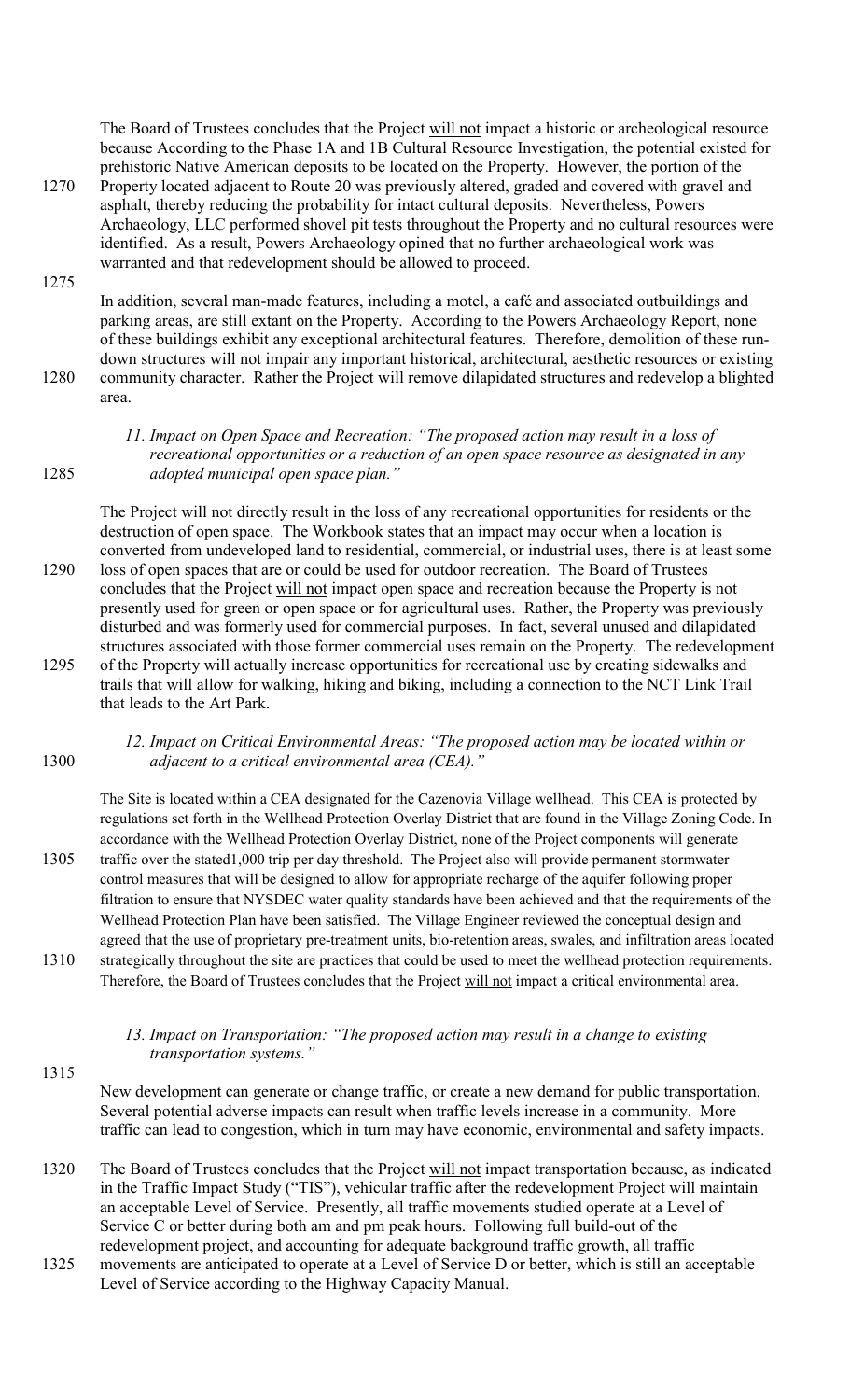The Board of Trustees concludes that the Project will not impact a historic or archeological resource because According to the Phase 1A and 1B Cultural Resource Investigation, the potential existed for prehistoric Native American deposits to be located on the Property. However, the portion of the

- 1270 Property located adjacent to Route 20 was previously altered, graded and covered with gravel and asphalt, thereby reducing the probability for intact cultural deposits. Nevertheless, Powers Archaeology, LLC performed shovel pit tests throughout the Property and no cultural resources were identified. As a result, Powers Archaeology opined that no further archaeological work was warranted and that redevelopment should be allowed to proceed.
- 1275

In addition, several man-made features, including a motel, a café and associated outbuildings and parking areas, are still extant on the Property. According to the Powers Archaeology Report, none of these buildings exhibit any exceptional architectural features. Therefore, demolition of these rundown structures will not impair any important historical, architectural, aesthetic resources or existing 1280 community character. Rather the Project will remove dilapidated structures and redevelop a blighted area.

*11. Impact on Open Space and Recreation: "The proposed action may result in a loss of recreational opportunities or a reduction of an open space resource as designated in any*  1285 *adopted municipal open space plan."* 

The Project will not directly result in the loss of any recreational opportunities for residents or the destruction of open space. The Workbook states that an impact may occur when a location is converted from undeveloped land to residential, commercial, or industrial uses, there is at least some 1290 loss of open spaces that are or could be used for outdoor recreation. The Board of Trustees concludes that the Project will not impact open space and recreation because the Property is not presently used for green or open space or for agricultural uses. Rather, the Property was previously disturbed and was formerly used for commercial purposes. In fact, several unused and dilapidated structures associated with those former commercial uses remain on the Property. The redevelopment 1295 of the Property will actually increase opportunities for recreational use by creating sidewalks and trails that will allow for walking, hiking and biking, including a connection to the NCT Link Trail that leads to the Art Park.

#### *12. Impact on Critical Environmental Areas: "The proposed action may be located within or*  1300 *adjacent to a critical environmental area (CEA)."*

The Site is located within a CEA designated for the Cazenovia Village wellhead. This CEA is protected by regulations set forth in the Wellhead Protection Overlay District that are found in the Village Zoning Code. In accordance with the Wellhead Protection Overlay District, none of the Project components will generate 1305 traffic over the stated1,000 trip per day threshold. The Project also will provide permanent stormwater control measures that will be designed to allow for appropriate recharge of the aquifer following proper filtration to ensure that NYSDEC water quality standards have been achieved and that the requirements of the Wellhead Protection Plan have been satisfied. The Village Engineer reviewed the conceptual design and agreed that the use of proprietary pre-treatment units, bio-retention areas, swales, and infiltration areas located 1310 strategically throughout the site are practices that could be used to meet the wellhead protection requirements.

Therefore, the Board of Trustees concludes that the Project will not impact a critical environmental area.

# *13. Impact on Transportation: "The proposed action may result in a change to existing transportation systems."*

1315

New development can generate or change traffic, or create a new demand for public transportation. Several potential adverse impacts can result when traffic levels increase in a community. More traffic can lead to congestion, which in turn may have economic, environmental and safety impacts.

- 1320 The Board of Trustees concludes that the Project will not impact transportation because, as indicated in the Traffic Impact Study ("TIS"), vehicular traffic after the redevelopment Project will maintain an acceptable Level of Service. Presently, all traffic movements studied operate at a Level of Service C or better during both am and pm peak hours. Following full build-out of the redevelopment project, and accounting for adequate background traffic growth, all traffic
- 1325 movements are anticipated to operate at a Level of Service D or better, which is still an acceptable Level of Service according to the Highway Capacity Manual.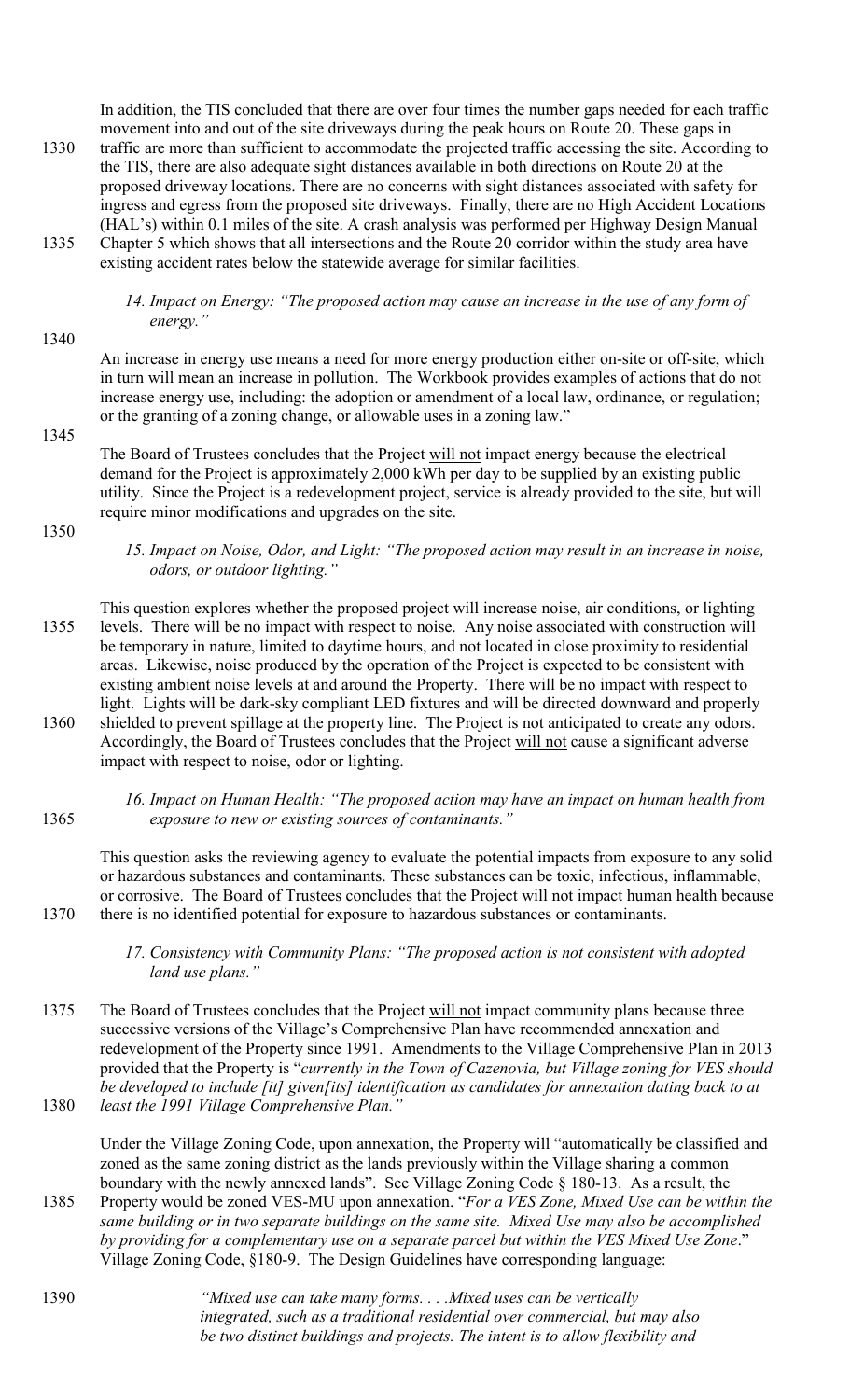In addition, the TIS concluded that there are over four times the number gaps needed for each traffic movement into and out of the site driveways during the peak hours on Route 20. These gaps in

- 1330 traffic are more than sufficient to accommodate the projected traffic accessing the site. According to the TIS, there are also adequate sight distances available in both directions on Route 20 at the proposed driveway locations. There are no concerns with sight distances associated with safety for ingress and egress from the proposed site driveways. Finally, there are no High Accident Locations (HAL's) within 0.1 miles of the site. A crash analysis was performed per Highway Design Manual
- 1335 Chapter 5 which shows that all intersections and the Route 20 corridor within the study area have existing accident rates below the statewide average for similar facilities.

*14. Impact on Energy: "The proposed action may cause an increase in the use of any form of energy."* 

1340

An increase in energy use means a need for more energy production either on-site or off-site, which in turn will mean an increase in pollution. The Workbook provides examples of actions that do not increase energy use, including: the adoption or amendment of a local law, ordinance, or regulation; or the granting of a zoning change, or allowable uses in a zoning law."

1345

The Board of Trustees concludes that the Project will not impact energy because the electrical demand for the Project is approximately 2,000 kWh per day to be supplied by an existing public utility. Since the Project is a redevelopment project, service is already provided to the site, but will require minor modifications and upgrades on the site.

1350

- *15. Impact on Noise, Odor, and Light: "The proposed action may result in an increase in noise, odors, or outdoor lighting."*
- This question explores whether the proposed project will increase noise, air conditions, or lighting 1355 levels. There will be no impact with respect to noise. Any noise associated with construction will be temporary in nature, limited to daytime hours, and not located in close proximity to residential areas. Likewise, noise produced by the operation of the Project is expected to be consistent with existing ambient noise levels at and around the Property. There will be no impact with respect to light. Lights will be dark-sky compliant LED fixtures and will be directed downward and properly 1360 shielded to prevent spillage at the property line. The Project is not anticipated to create any odors. Accordingly, the Board of Trustees concludes that the Project will not cause a significant adverse impact with respect to noise, odor or lighting.
- 

#### *16. Impact on Human Health: "The proposed action may have an impact on human health from*  1365 *exposure to new or existing sources of contaminants."*

This question asks the reviewing agency to evaluate the potential impacts from exposure to any solid or hazardous substances and contaminants. These substances can be toxic, infectious, inflammable, or corrosive. The Board of Trustees concludes that the Project will not impact human health because 1370 there is no identified potential for exposure to hazardous substances or contaminants.

## *17. Consistency with Community Plans: "The proposed action is not consistent with adopted land use plans."*

- 1375 The Board of Trustees concludes that the Project will not impact community plans because three successive versions of the Village's Comprehensive Plan have recommended annexation and redevelopment of the Property since 1991. Amendments to the Village Comprehensive Plan in 2013 provided that the Property is "*currently in the Town of Cazenovia, but Village zoning for VES should be developed to include [it] given[its] identification as candidates for annexation dating back to at*  1380 *least the 1991 Village Comprehensive Plan."*
	- Under the Village Zoning Code, upon annexation, the Property will "automatically be classified and zoned as the same zoning district as the lands previously within the Village sharing a common boundary with the newly annexed lands". See Village Zoning Code § 180-13. As a result, the
- 1385 Property would be zoned VES-MU upon annexation. "*For a VES Zone, Mixed Use can be within the same building or in two separate buildings on the same site. Mixed Use may also be accomplished by providing for a complementary use on a separate parcel but within the VES Mixed Use Zone*." Village Zoning Code, §180-9. The Design Guidelines have corresponding language:
- 1390 *"Mixed use can take many forms. . . .Mixed uses can be vertically integrated, such as a traditional residential over commercial, but may also be two distinct buildings and projects. The intent is to allow flexibility and*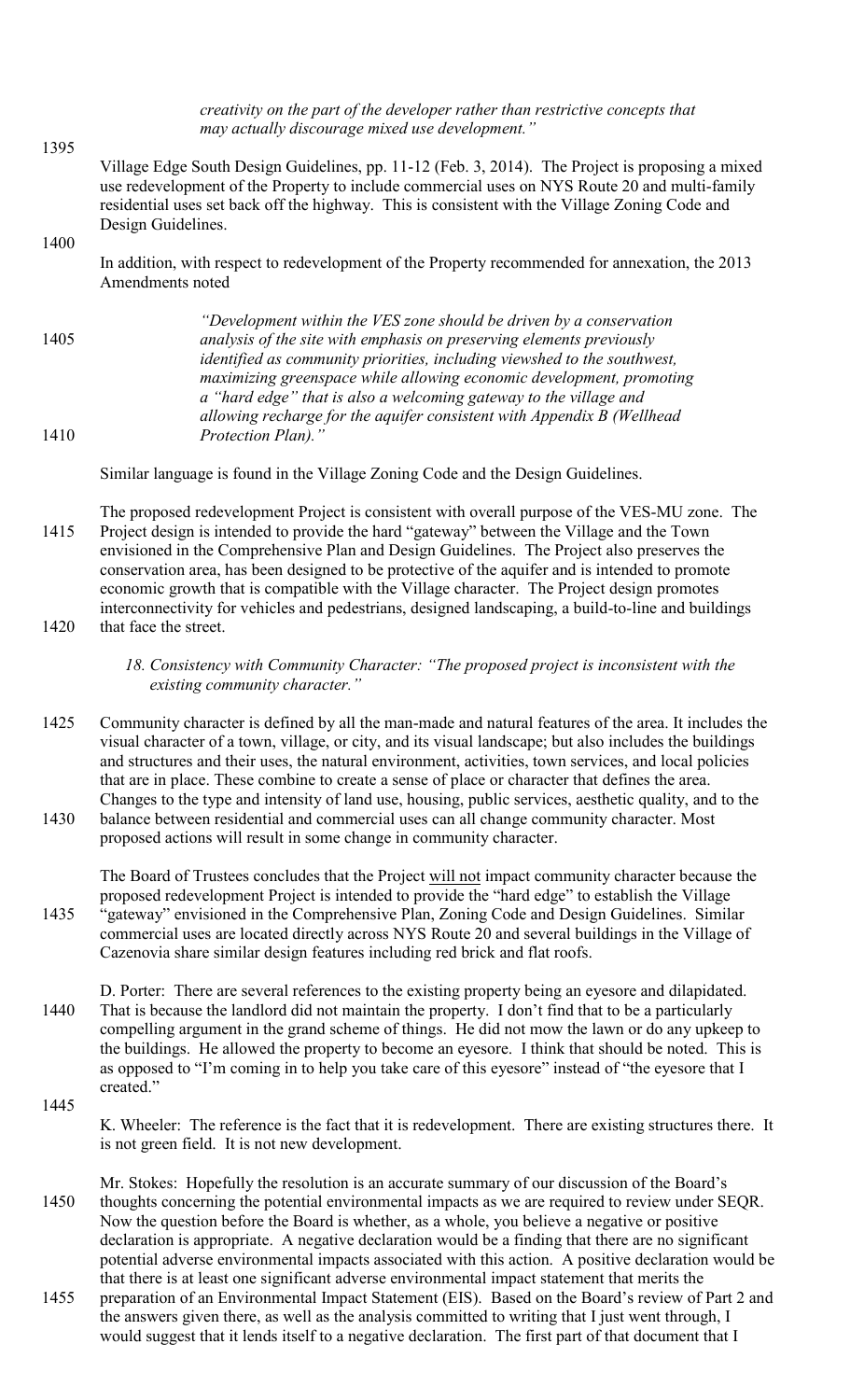*creativity on the part of the developer rather than restrictive concepts that may actually discourage mixed use development."* 

Village Edge South Design Guidelines, pp. 11-12 (Feb. 3, 2014). The Project is proposing a mixed use redevelopment of the Property to include commercial uses on NYS Route 20 and multi-family residential uses set back off the highway. This is consistent with the Village Zoning Code and Design Guidelines.

1400

1395

In addition, with respect to redevelopment of the Property recommended for annexation, the 2013 Amendments noted

*"Development within the VES zone should be driven by a conservation*  1405 *analysis of the site with emphasis on preserving elements previously identified as community priorities, including viewshed to the southwest, maximizing greenspace while allowing economic development, promoting a "hard edge" that is also a welcoming gateway to the village and allowing recharge for the aquifer consistent with Appendix B (Wellhead*  1410 *Protection Plan)."*

Similar language is found in the Village Zoning Code and the Design Guidelines.

The proposed redevelopment Project is consistent with overall purpose of the VES-MU zone. The 1415 Project design is intended to provide the hard "gateway" between the Village and the Town envisioned in the Comprehensive Plan and Design Guidelines. The Project also preserves the conservation area, has been designed to be protective of the aquifer and is intended to promote economic growth that is compatible with the Village character. The Project design promotes interconnectivity for vehicles and pedestrians, designed landscaping, a build-to-line and buildings 1420 that face the street.

> *18. Consistency with Community Character: "The proposed project is inconsistent with the existing community character."*

- 1425 Community character is defined by all the man-made and natural features of the area. It includes the visual character of a town, village, or city, and its visual landscape; but also includes the buildings and structures and their uses, the natural environment, activities, town services, and local policies that are in place. These combine to create a sense of place or character that defines the area. Changes to the type and intensity of land use, housing, public services, aesthetic quality, and to the 1430 balance between residential and commercial uses can all change community character. Most
- proposed actions will result in some change in community character.

The Board of Trustees concludes that the Project will not impact community character because the proposed redevelopment Project is intended to provide the "hard edge" to establish the Village 1435 "gateway" envisioned in the Comprehensive Plan, Zoning Code and Design Guidelines. Similar commercial uses are located directly across NYS Route 20 and several buildings in the Village of Cazenovia share similar design features including red brick and flat roofs.

- D. Porter: There are several references to the existing property being an eyesore and dilapidated. 1440 That is because the landlord did not maintain the property. I don't find that to be a particularly compelling argument in the grand scheme of things. He did not mow the lawn or do any upkeep to the buildings. He allowed the property to become an eyesore. I think that should be noted. This is as opposed to "I'm coming in to help you take care of this eyesore" instead of "the eyesore that I created."
- 1445

K. Wheeler: The reference is the fact that it is redevelopment. There are existing structures there. It is not green field. It is not new development.

Mr. Stokes: Hopefully the resolution is an accurate summary of our discussion of the Board's 1450 thoughts concerning the potential environmental impacts as we are required to review under SEQR. Now the question before the Board is whether, as a whole, you believe a negative or positive declaration is appropriate. A negative declaration would be a finding that there are no significant potential adverse environmental impacts associated with this action. A positive declaration would be that there is at least one significant adverse environmental impact statement that merits the

1455 preparation of an Environmental Impact Statement (EIS). Based on the Board's review of Part 2 and the answers given there, as well as the analysis committed to writing that I just went through, I would suggest that it lends itself to a negative declaration. The first part of that document that I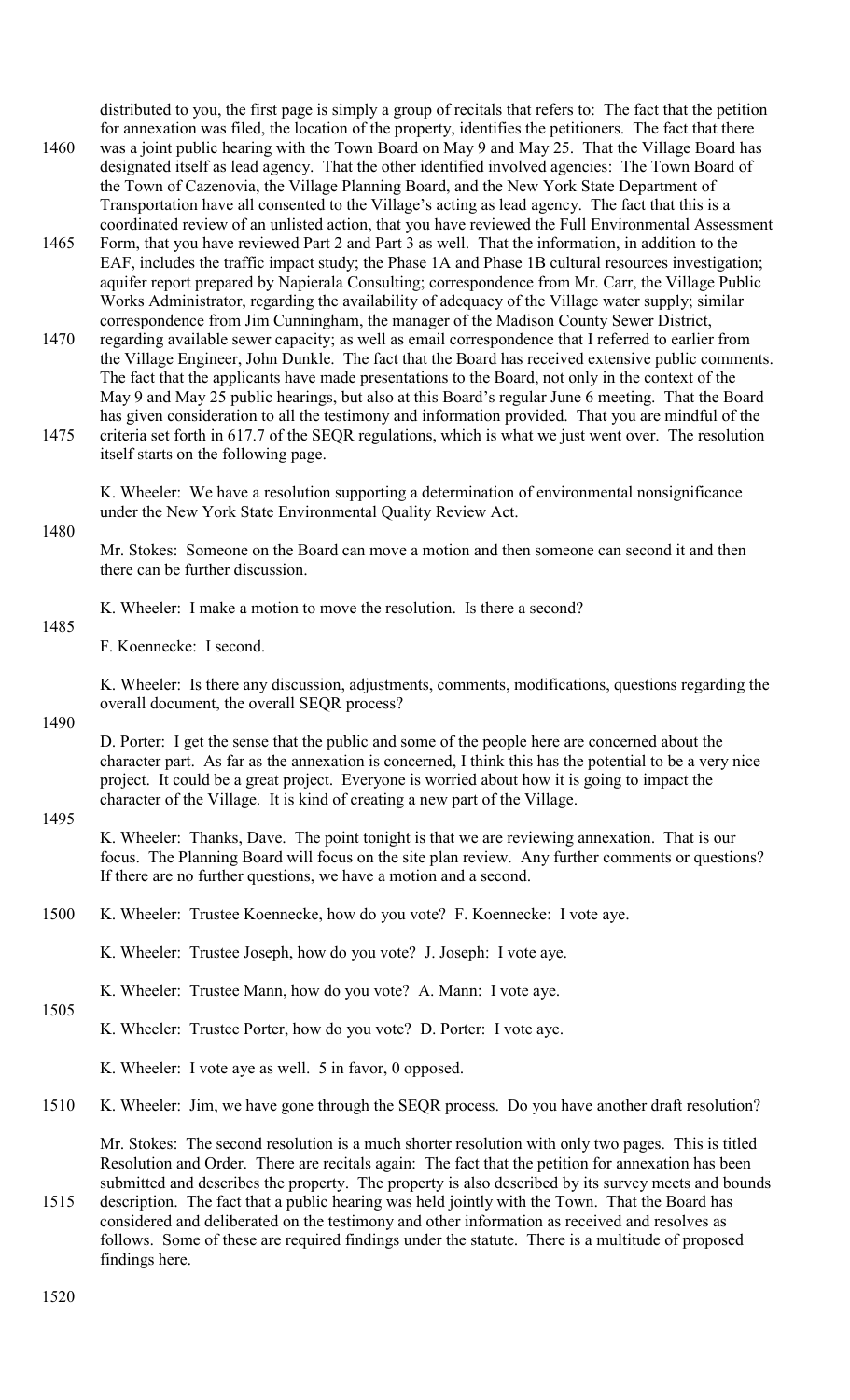distributed to you, the first page is simply a group of recitals that refers to: The fact that the petition for annexation was filed, the location of the property, identifies the petitioners. The fact that there

- 1460 was a joint public hearing with the Town Board on May 9 and May 25. That the Village Board has designated itself as lead agency. That the other identified involved agencies: The Town Board of the Town of Cazenovia, the Village Planning Board, and the New York State Department of Transportation have all consented to the Village's acting as lead agency. The fact that this is a coordinated review of an unlisted action, that you have reviewed the Full Environmental Assessment
- 1465 Form, that you have reviewed Part 2 and Part 3 as well. That the information, in addition to the EAF, includes the traffic impact study; the Phase 1A and Phase 1B cultural resources investigation; aquifer report prepared by Napierala Consulting; correspondence from Mr. Carr, the Village Public Works Administrator, regarding the availability of adequacy of the Village water supply; similar correspondence from Jim Cunningham, the manager of the Madison County Sewer District,
- 1470 regarding available sewer capacity; as well as email correspondence that I referred to earlier from the Village Engineer, John Dunkle. The fact that the Board has received extensive public comments. The fact that the applicants have made presentations to the Board, not only in the context of the May 9 and May 25 public hearings, but also at this Board's regular June 6 meeting. That the Board has given consideration to all the testimony and information provided. That you are mindful of the
- 1475 criteria set forth in 617.7 of the SEQR regulations, which is what we just went over. The resolution itself starts on the following page.

K. Wheeler: We have a resolution supporting a determination of environmental nonsignificance under the New York State Environmental Quality Review Act.

1480

Mr. Stokes: Someone on the Board can move a motion and then someone can second it and then there can be further discussion.

K. Wheeler: I make a motion to move the resolution. Is there a second?

# 1485

F. Koennecke: I second.

K. Wheeler: Is there any discussion, adjustments, comments, modifications, questions regarding the overall document, the overall SEQR process?

1490

D. Porter: I get the sense that the public and some of the people here are concerned about the character part. As far as the annexation is concerned, I think this has the potential to be a very nice project. It could be a great project. Everyone is worried about how it is going to impact the character of the Village. It is kind of creating a new part of the Village.

#### 1495

K. Wheeler: Thanks, Dave. The point tonight is that we are reviewing annexation. That is our focus. The Planning Board will focus on the site plan review. Any further comments or questions? If there are no further questions, we have a motion and a second.

- 1500 K. Wheeler: Trustee Koennecke, how do you vote? F. Koennecke: I vote aye.
	- K. Wheeler: Trustee Joseph, how do you vote? J. Joseph: I vote aye.
	- K. Wheeler: Trustee Mann, how do you vote? A. Mann: I vote aye.

1505

- K. Wheeler: Trustee Porter, how do you vote? D. Porter: I vote aye.
- K. Wheeler: I vote aye as well. 5 in favor, 0 opposed.

1510 K. Wheeler: Jim, we have gone through the SEQR process. Do you have another draft resolution?

Mr. Stokes: The second resolution is a much shorter resolution with only two pages. This is titled Resolution and Order. There are recitals again: The fact that the petition for annexation has been submitted and describes the property. The property is also described by its survey meets and bounds

1515 description. The fact that a public hearing was held jointly with the Town. That the Board has considered and deliberated on the testimony and other information as received and resolves as follows. Some of these are required findings under the statute. There is a multitude of proposed findings here.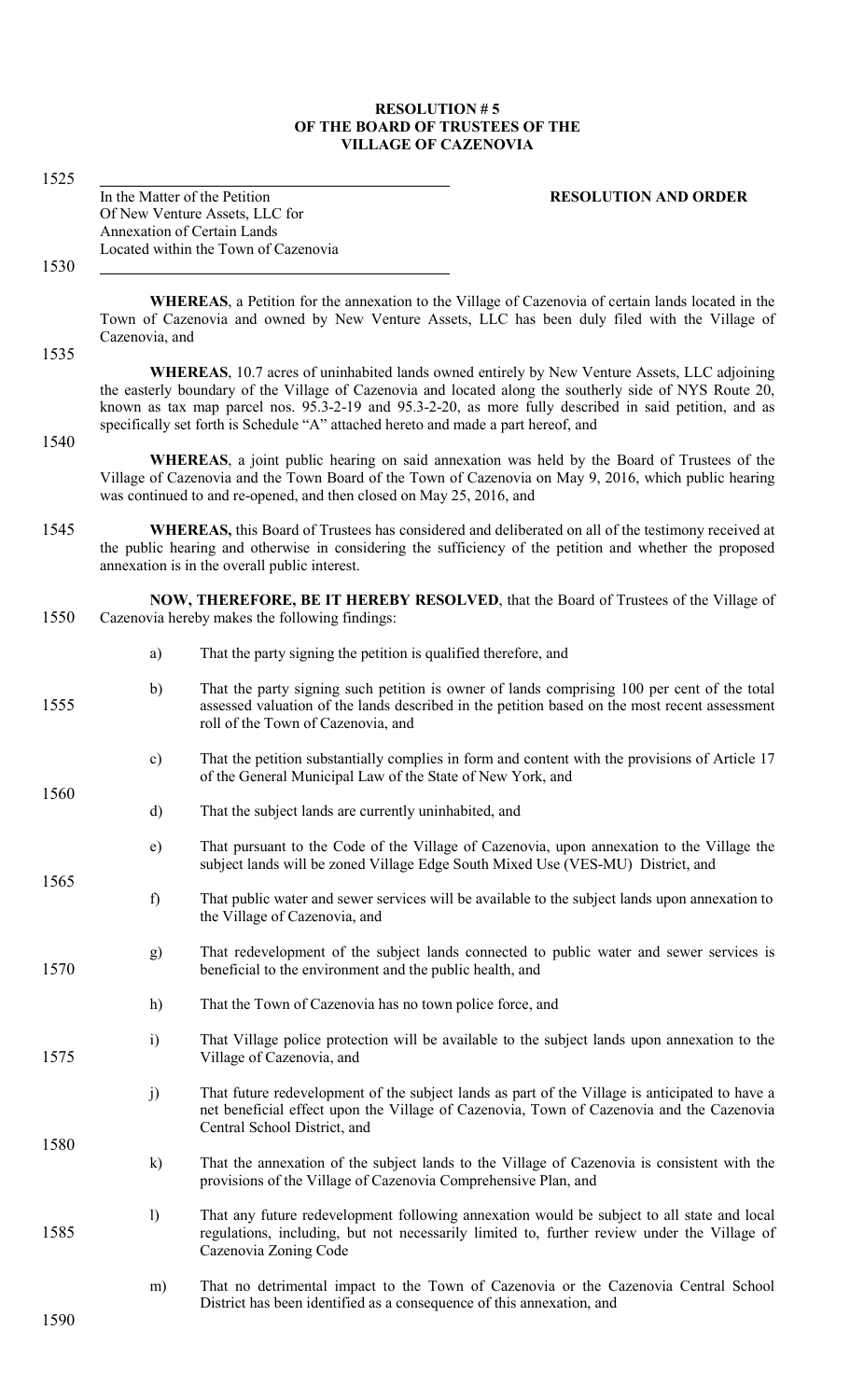#### **RESOLUTION # 5 OF THE BOARD OF TRUSTEES OF THE VILLAGE OF CAZENOVIA**

In the Matter of the Petition **RESOLUTION AND ORDER** Of New Venture Assets, LLC for Annexation of Certain Lands Located within the Town of Cazenovia

1530

1535

1525

**WHEREAS**, a Petition for the annexation to the Village of Cazenovia of certain lands located in the Town of Cazenovia and owned by New Venture Assets, LLC has been duly filed with the Village of Cazenovia, and

**WHEREAS**, 10.7 acres of uninhabited lands owned entirely by New Venture Assets, LLC adjoining the easterly boundary of the Village of Cazenovia and located along the southerly side of NYS Route 20, known as tax map parcel nos. 95.3-2-19 and 95.3-2-20, as more fully described in said petition, and as specifically set forth is Schedule "A" attached hereto and made a part hereof, and

1540

1560

1565

**WHEREAS**, a joint public hearing on said annexation was held by the Board of Trustees of the Village of Cazenovia and the Town Board of the Town of Cazenovia on May 9, 2016, which public hearing was continued to and re-opened, and then closed on May 25, 2016, and

1545 **WHEREAS,** this Board of Trustees has considered and deliberated on all of the testimony received at the public hearing and otherwise in considering the sufficiency of the petition and whether the proposed annexation is in the overall public interest.

**NOW, THEREFORE, BE IT HEREBY RESOLVED**, that the Board of Trustees of the Village of 1550 Cazenovia hereby makes the following findings:

- a) That the party signing the petition is qualified therefore, and
- b) That the party signing such petition is owner of lands comprising 100 per cent of the total 1555 assessed valuation of the lands described in the petition based on the most recent assessment roll of the Town of Cazenovia, and
	- c) That the petition substantially complies in form and content with the provisions of Article 17 of the General Municipal Law of the State of New York, and
	- d) That the subject lands are currently uninhabited, and
		- e) That pursuant to the Code of the Village of Cazenovia, upon annexation to the Village the subject lands will be zoned Village Edge South Mixed Use (VES-MU) District, and
	- f) That public water and sewer services will be available to the subject lands upon annexation to the Village of Cazenovia, and
- g) That redevelopment of the subject lands connected to public water and sewer services is 1570 beneficial to the environment and the public health, and
	- h) That the Town of Cazenovia has no town police force, and
- i) That Village police protection will be available to the subject lands upon annexation to the 1575 Village of Cazenovia, and
	- j) That future redevelopment of the subject lands as part of the Village is anticipated to have a net beneficial effect upon the Village of Cazenovia, Town of Cazenovia and the Cazenovia Central School District, and
- k) That the annexation of the subject lands to the Village of Cazenovia is consistent with the provisions of the Village of Cazenovia Comprehensive Plan, and
- l) That any future redevelopment following annexation would be subject to all state and local 1585 regulations, including, but not necessarily limited to, further review under the Village of Cazenovia Zoning Code
	- m) That no detrimental impact to the Town of Cazenovia or the Cazenovia Central School District has been identified as a consequence of this annexation, and

1580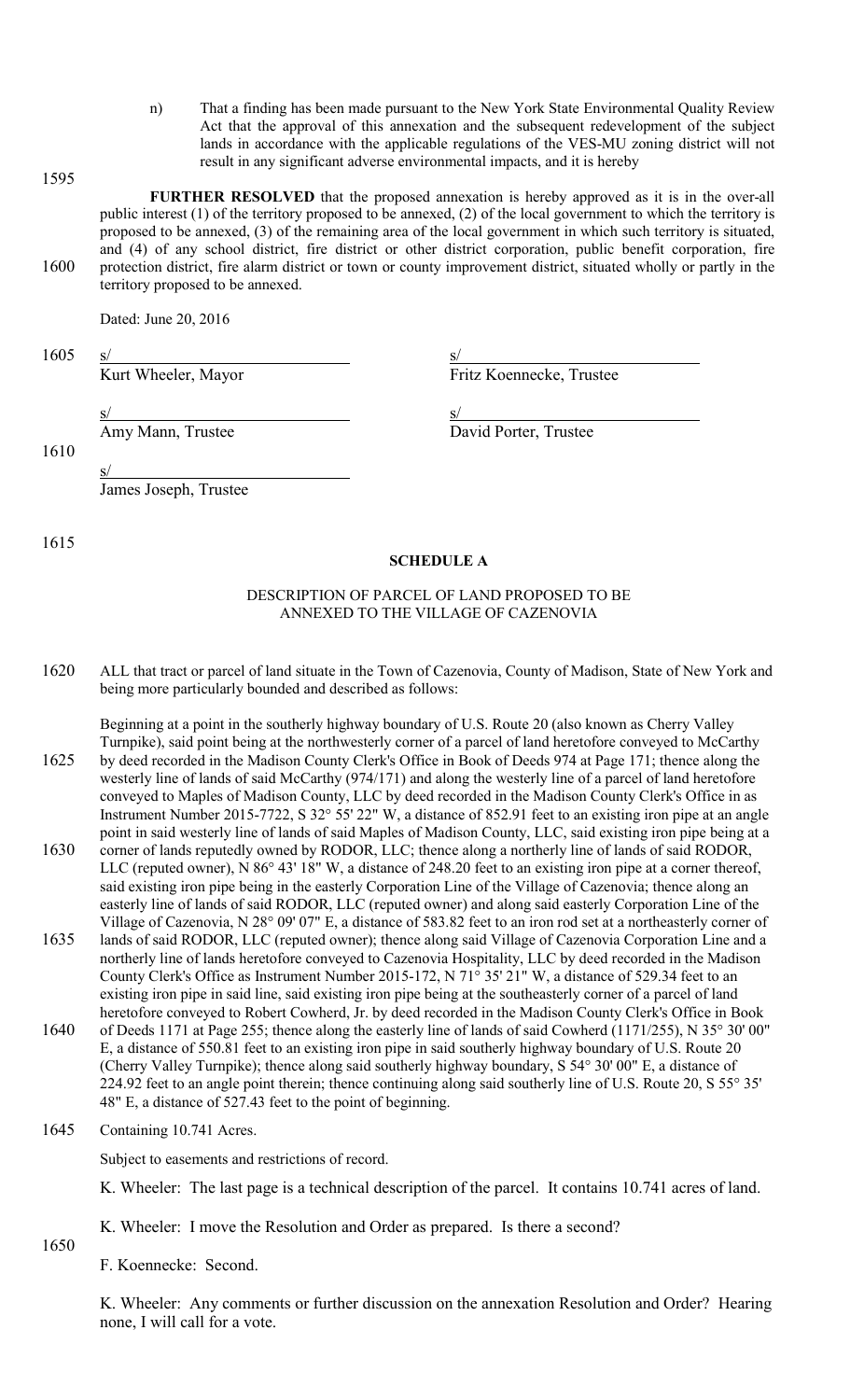- n) That a finding has been made pursuant to the New York State Environmental Quality Review Act that the approval of this annexation and the subsequent redevelopment of the subject lands in accordance with the applicable regulations of the VES-MU zoning district will not result in any significant adverse environmental impacts, and it is hereby
- **FURTHER RESOLVED** that the proposed annexation is hereby approved as it is in the over-all public interest (1) of the territory proposed to be annexed, (2) of the local government to which the territory is proposed to be annexed, (3) of the remaining area of the local government in which such territory is situated, and (4) of any school district, fire district or other district corporation, public benefit corporation, fire 1600 protection district, fire alarm district or town or county improvement district, situated wholly or partly in the territory proposed to be annexed.

Dated: June 20, 2016

 $1605 \quad s/$ 

1595

Kurt Wheeler, Mayor Fritz Koennecke, Trustee

 $s/$  s/ Amy Mann, Trustee David Porter, Trustee

1610

 $s/$ James Joseph, Trustee

1615

#### **SCHEDULE A**

#### DESCRIPTION OF PARCEL OF LAND PROPOSED TO BE ANNEXED TO THE VILLAGE OF CAZENOVIA

1620 ALL that tract or parcel of land situate in the Town of Cazenovia, County of Madison, State of New York and being more particularly bounded and described as follows:

Beginning at a point in the southerly highway boundary of U.S. Route 20 (also known as Cherry Valley Turnpike), said point being at the northwesterly corner of a parcel of land heretofore conveyed to McCarthy

- 1625 by deed recorded in the Madison County Clerk's Office in Book of Deeds 974 at Page 171; thence along the westerly line of lands of said McCarthy (974/171) and along the westerly line of a parcel of land heretofore conveyed to Maples of Madison County, LLC by deed recorded in the Madison County Clerk's Office in as Instrument Number 2015-7722, S 32° 55' 22" W, a distance of 852.91 feet to an existing iron pipe at an angle point in said westerly line of lands of said Maples of Madison County, LLC, said existing iron pipe being at a
- 1630 corner of lands reputedly owned by RODOR, LLC; thence along a northerly line of lands of said RODOR, LLC (reputed owner), N 86° 43' 18" W, a distance of 248.20 feet to an existing iron pipe at a corner thereof, said existing iron pipe being in the easterly Corporation Line of the Village of Cazenovia; thence along an easterly line of lands of said RODOR, LLC (reputed owner) and along said easterly Corporation Line of the Village of Cazenovia, N 28° 09' 07" E, a distance of 583.82 feet to an iron rod set at a northeasterly corner of
- 1635 lands of said RODOR, LLC (reputed owner); thence along said Village of Cazenovia Corporation Line and a northerly line of lands heretofore conveyed to Cazenovia Hospitality, LLC by deed recorded in the Madison County Clerk's Office as Instrument Number 2015-172, N 71° 35' 21" W, a distance of 529.34 feet to an existing iron pipe in said line, said existing iron pipe being at the southeasterly corner of a parcel of land heretofore conveyed to Robert Cowherd, Jr. by deed recorded in the Madison County Clerk's Office in Book
- 1640 of Deeds 1171 at Page 255; thence along the easterly line of lands of said Cowherd (1171/255), N 35° 30' 00" E, a distance of 550.81 feet to an existing iron pipe in said southerly highway boundary of U.S. Route 20 (Cherry Valley Turnpike); thence along said southerly highway boundary, S 54° 30' 00" E, a distance of 224.92 feet to an angle point therein; thence continuing along said southerly line of U.S. Route 20, S 55° 35' 48" E, a distance of 527.43 feet to the point of beginning.
- 1645 Containing 10.741 Acres.

Subject to easements and restrictions of record.

K. Wheeler: The last page is a technical description of the parcel. It contains 10.741 acres of land.

K. Wheeler: I move the Resolution and Order as prepared. Is there a second?

F. Koennecke: Second.

1650

K. Wheeler: Any comments or further discussion on the annexation Resolution and Order? Hearing none, I will call for a vote.